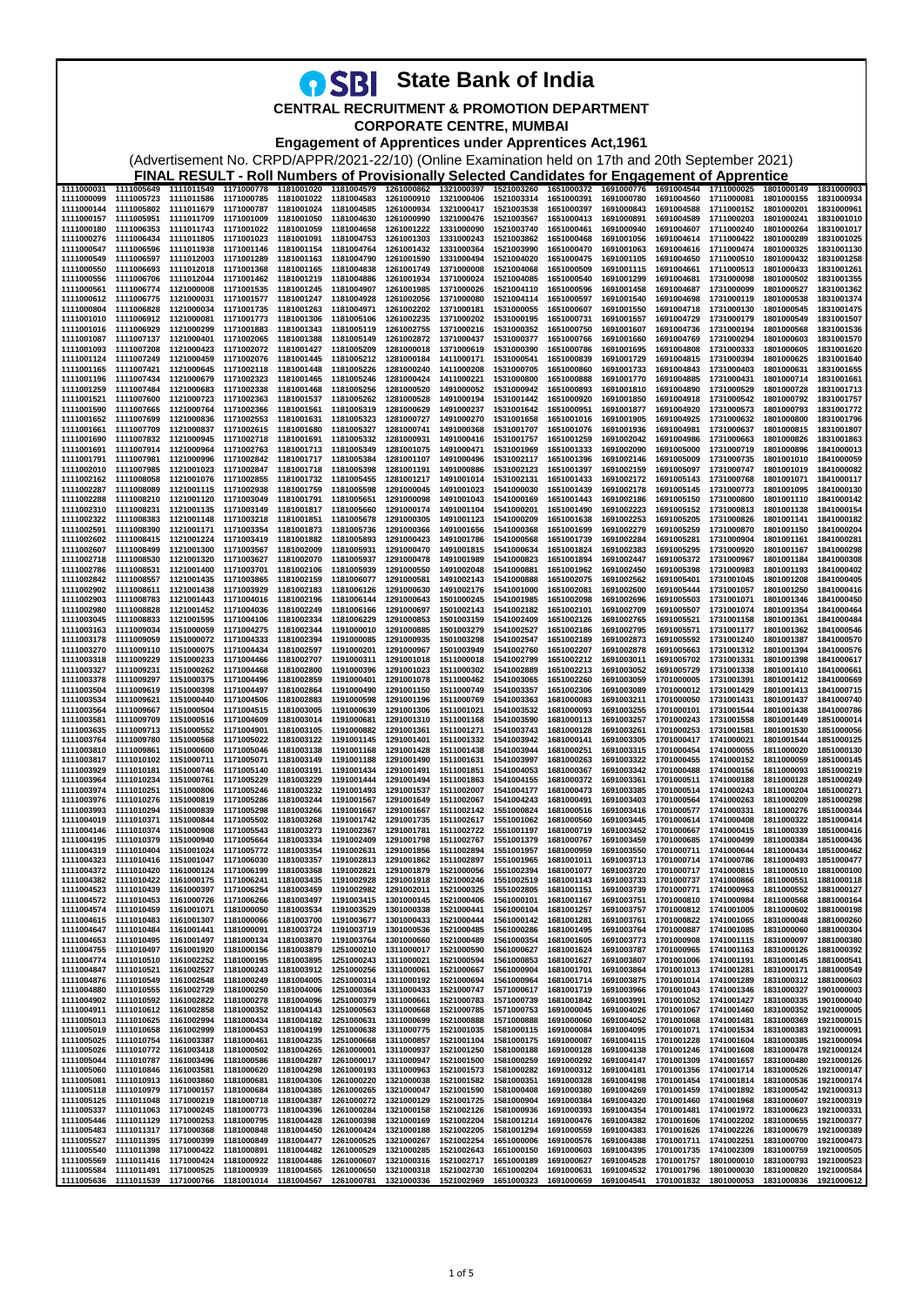|            | . <i>. .</i>                                                                                                                                                         |            |            | I VUITTUMITIN VI |            |                                                                              | ooioocoa   |            | <b>Paraidace TVI End</b> |            |            |            |            |            |
|------------|----------------------------------------------------------------------------------------------------------------------------------------------------------------------|------------|------------|------------------|------------|------------------------------------------------------------------------------|------------|------------|--------------------------|------------|------------|------------|------------|------------|
| 1111000031 | 1111005649                                                                                                                                                           | 1111011549 | 1171000778 | 1181001020       | 1181004579 | 1261000862                                                                   | 1321000397 | 1521003260 | 1651000372               | 1691000776 | 1691004544 | 1711000025 | 1801000149 | 1831000903 |
| 1111000099 | 1111005723                                                                                                                                                           | 1111011586 | 1171000785 | 1181001022       | 1181004583 | 1261000910                                                                   | 1321000406 | 1521003314 | 1651000391               | 1691000780 | 1691004560 | 1711000081 | 1801000155 | 1831000934 |
| 1111000144 | 1111005802                                                                                                                                                           | 1111011679 | 1171000787 | 1181001024       | 1181004585 | 1261000934                                                                   | 1321000417 | 1521003538 | 1651000397               | 1691000843 | 1691004588 | 1711000152 | 1801000201 | 1831000961 |
| 1111000157 | 1111005951                                                                                                                                                           | 1111011709 | 1171001009 | 1181001050       | 1181004630 | 1261000990                                                                   | 1321000476 | 1521003567 | 1651000413               | 1691000891 | 1691004589 | 1711000203 | 1801000241 | 1831001010 |
| 1111000180 | 1111006353                                                                                                                                                           | 1111011743 | 1171001022 | 1181001059       | 1181004658 | 1261001222                                                                   | 1331000090 | 1521003740 | 1651000461               | 1691000940 | 1691004607 | 1711000240 | 1801000264 | 1831001017 |
| 1111000276 | 1111006434                                                                                                                                                           | 1111011805 | 1171001023 | 1181001091       | 1181004753 | 1261001303                                                                   | 1331000243 | 1521003862 | 1651000468               | 1691001056 | 1691004614 | 1711000422 | 1801000289 | 1831001025 |
| 1111000547 | 1111006596                                                                                                                                                           | 1111011938 | 1171001146 | 1181001154       | 1181004764 | 1261001432                                                                   | 1331000364 | 1521003990 | 1651000470               | 1691001063 | 1691004616 | 1711000474 | 1801000325 | 1831001130 |
|            |                                                                                                                                                                      |            |            | 1181001163       |            | 1261001590                                                                   |            |            |                          | 1691001105 |            |            |            |            |
| 1111000549 | 1111006597                                                                                                                                                           | 1111012003 | 1171001289 |                  | 1181004790 |                                                                              | 1331000494 | 1521004020 | 1651000475               |            | 1691004650 | 1711000510 | 1801000432 | 1831001258 |
| 1111000550 | 1111006693                                                                                                                                                           | 1111012018 | 1171001368 | 1181001165       | 1181004838 | 1261001749                                                                   | 1371000008 | 1521004068 | 1651000509               | 1691001115 | 1691004661 | 1711000513 | 1801000433 | 1831001261 |
| 1111000556 | 1111006706                                                                                                                                                           | 1111012044 | 1171001462 | 1181001219       | 1181004886 | 1261001934                                                                   | 1371000024 | 1521004085 | 1651000540               | 1691001299 | 1691004681 | 1731000098 | 1801000502 | 1831001355 |
| 1111000561 | 1111006774                                                                                                                                                           | 1121000008 | 1171001535 | 1181001245       | 1181004907 | 1261001985                                                                   | 1371000026 | 1521004110 | 1651000596               | 1691001458 | 1691004687 | 1731000099 | 1801000527 | 1831001362 |
| 1111000612 | 1111006775                                                                                                                                                           | 1121000031 | 1171001577 | 1181001247       | 1181004928 | 1261002056                                                                   | 1371000080 | 1521004114 | 1651000597               | 1691001540 | 1691004698 | 1731000119 | 1801000538 | 1831001374 |
| 1111000804 | 1111006828                                                                                                                                                           | 1121000034 | 1171001735 | 1181001263       | 1181004971 | 1261002202                                                                   | 1371000181 | 1531000055 | 1651000607               | 1691001550 | 1691004718 | 1731000130 | 1801000545 | 1831001475 |
| 1111001010 | 1111006912                                                                                                                                                           | 1121000081 | 1171001773 | 1181001306       | 1181005106 | 1261002235                                                                   | 1371000202 | 1531000195 | 1651000731               | 1691001557 | 1691004729 | 1731000179 | 1801000549 | 1831001507 |
| 1111001016 | 1111006929                                                                                                                                                           | 1121000299 | 1171001883 | 1181001343       | 1181005119 | 1261002755                                                                   | 1371000216 | 1531000352 | 1651000750               | 1691001607 | 1691004736 | 1731000194 | 1801000568 | 1831001536 |
|            |                                                                                                                                                                      |            |            |                  |            |                                                                              |            |            |                          |            |            |            |            |            |
| 1111001087 | 1111007137                                                                                                                                                           | 1121000401 | 1171002065 | 1181001388       | 1181005149 | 1261002872                                                                   | 1371000437 | 1531000377 | 1651000766               | 1691001660 | 1691004769 | 1731000294 | 1801000603 | 1831001570 |
| 1111001093 | 1111007208                                                                                                                                                           | 1121000423 | 1171002072 | 1181001427       | 1181005209 | 1281000018                                                                   | 1371000619 | 1531000390 | 1651000786               | 1691001695 | 1691004808 | 1731000333 | 1801000605 | 1831001620 |
| 1111001124 | 1111007249                                                                                                                                                           | 1121000459 | 1171002076 | 1181001445       | 1181005212 | 1281000184                                                                   | 1411000171 | 1531000541 | 1651000839               | 1691001729 | 1691004815 | 1731000394 | 1801000625 | 1831001640 |
| 1111001165 | 1111007421                                                                                                                                                           | 1121000645 | 1171002118 | 1181001448       | 1181005226 | 1281000240                                                                   | 1411000208 | 1531000705 | 1651000860               | 1691001733 | 1691004843 | 1731000403 | 1801000631 | 1831001655 |
| 1111001196 | 1111007434                                                                                                                                                           | 1121000679 | 1171002323 | 1181001465       | 1181005246 | 1281000424                                                                   | 1411000221 | 1531000800 | 1651000888               | 1691001770 | 1691004885 | 1731000431 | 1801000714 | 1831001661 |
|            |                                                                                                                                                                      |            |            |                  |            |                                                                              |            |            |                          |            |            |            |            |            |
| 1111001259 | 1111007484                                                                                                                                                           | 1121000683 | 1171002338 | 1181001468       | 1181005256 | 1281000520                                                                   | 1491000052 | 1531000942 | 1651000893               | 1691001810 | 1691004890 | 1731000529 | 1801000728 | 1831001713 |
| 1111001521 | 1111007600                                                                                                                                                           | 1121000723 | 1171002363 | 1181001537       | 1181005262 | 1281000528                                                                   | 1491000194 | 1531001442 | 1651000920               | 1691001850 | 1691004918 | 1731000542 | 1801000792 | 1831001757 |
| 1111001590 | 1111007665                                                                                                                                                           | 1121000764 | 1171002366 | 1181001561       | 1181005319 | 1281000629                                                                   | 1491000237 | 1531001642 | 1651000951               | 1691001877 | 1691004920 | 1731000573 | 1801000793 | 1831001772 |
| 1111001652 | 1111007699                                                                                                                                                           | 1121000836 | 1171002553 | 1181001631       | 1181005323 | 1281000727                                                                   | 1491000270 | 1531001658 | 1651001016               | 1691001905 | 1691004925 | 1731000632 | 1801000800 | 1831001796 |
| 1111001661 | 1111007709                                                                                                                                                           | 1121000837 | 1171002615 | 1181001680       | 1181005327 | 1281000741                                                                   | 1491000368 | 1531001707 | 1651001076               | 1691001936 | 1691004981 | 1731000637 | 1801000815 | 1831001807 |
| 1111001690 | 1111007832                                                                                                                                                           | 1121000945 | 1171002718 | 1181001691       | 1181005332 | 1281000931                                                                   | 1491000416 | 1531001757 | 1651001259               | 1691002042 | 1691004986 | 1731000663 | 1801000826 | 1831001863 |
|            |                                                                                                                                                                      |            |            | 1181001713       |            | 1281001075                                                                   |            |            | 1651001333               |            |            |            | 1801000896 |            |
| 1111001691 | 1111007914                                                                                                                                                           | 1121000964 | 1171002763 |                  | 1181005349 |                                                                              | 1491000471 | 1531001969 |                          | 1691002090 | 1691005000 | 1731000719 |            | 1841000013 |
| 1111001791 | 1111007981                                                                                                                                                           | 1121000996 | 1171002842 | 1181001717       | 1181005384 | 1281001107                                                                   | 1491000496 | 1531002117 | 1651001396               | 1691002146 | 1691005009 | 1731000735 | 1801001010 | 1841000059 |
| 1111002010 | 1111007985                                                                                                                                                           | 1121001023 | 1171002847 | 1181001718       | 1181005398 | 1281001191                                                                   | 1491000886 | 1531002123 | 1651001397               | 1691002159 | 1691005097 | 1731000747 | 1801001019 | 1841000082 |
| 1111002162 | 1111008058                                                                                                                                                           | 1121001076 | 1171002855 | 1181001732       | 1181005455 | 1281001217                                                                   | 1491001014 | 1531002131 | 1651001433               | 1691002172 | 1691005143 | 1731000768 | 1801001071 | 1841000117 |
| 1111002287 | 1111008089                                                                                                                                                           | 1121001115 | 1171002938 | 1181001759       | 1181005598 | 1291000045                                                                   | 1491001023 | 1541000030 | 1651001439               | 1691002178 | 1691005145 | 1731000773 | 1801001095 | 1841000130 |
| 1111002288 | 1111008210                                                                                                                                                           | 1121001120 | 1171003049 | 1181001791       | 1181005651 | 1291000098                                                                   | 1491001043 | 1541000169 | 1651001443               | 1691002186 | 1691005150 | 1731000800 | 1801001110 | 1841000142 |
|            |                                                                                                                                                                      |            |            |                  |            |                                                                              |            |            |                          |            |            |            |            |            |
| 1111002310 | 1111008231                                                                                                                                                           | 1121001135 | 1171003149 | 1181001817       | 1181005660 | 1291000174                                                                   | 1491001104 | 1541000201 | 1651001490               | 1691002223 | 1691005152 | 1731000813 | 1801001138 | 1841000154 |
| 1111002322 | 1111008383                                                                                                                                                           | 1121001148 | 1171003218 | 1181001851       | 1181005678 | 1291000305                                                                   | 1491001123 | 1541000209 | 1651001638               | 1691002253 | 1691005205 | 1731000826 | 1801001141 | 1841000182 |
| 1111002591 | 1111008390                                                                                                                                                           | 1121001171 | 1171003354 | 1181001873       | 1181005736 | 1291000366                                                                   | 1491001656 | 1541000368 | 1651001699               | 1691002279 | 1691005259 | 1731000870 | 1801001150 | 1841000204 |
| 1111002602 | 1111008415                                                                                                                                                           | 1121001224 | 1171003419 | 1181001882       | 1181005893 | 1291000423                                                                   | 1491001786 | 1541000568 | 1651001739               | 1691002284 | 1691005281 | 1731000904 | 1801001161 | 1841000281 |
| 1111002607 | 1111008499                                                                                                                                                           | 1121001300 | 1171003567 | 1181002009       | 1181005931 | 1291000470                                                                   | 1491001815 | 1541000634 | 1651001824               | 1691002383 | 1691005295 | 1731000920 | 1801001167 | 1841000298 |
| 1111002718 | 1111008530                                                                                                                                                           | 1121001320 | 1171003627 | 1181002070       | 1181005937 | 1291000478                                                                   | 1491001989 | 1541000823 | 1651001894               | 1691002447 | 1691005372 | 1731000967 | 1801001184 | 1841000308 |
| 1111002786 | 1111008531                                                                                                                                                           | 1121001400 | 1171003701 | 1181002106       | 1181005939 | 1291000550                                                                   | 1491002048 | 1541000881 | 1651001962               | 1691002450 | 1691005398 | 1731000983 | 1801001193 | 1841000402 |
|            |                                                                                                                                                                      |            |            |                  |            |                                                                              |            |            |                          |            |            |            |            |            |
| 1111002842 | 1111008557                                                                                                                                                           | 1121001435 | 1171003865 | 1181002159       | 1181006077 | 1291000581                                                                   | 1491002143 | 1541000888 | 1651002075               | 1691002562 | 1691005401 | 1731001045 | 1801001208 | 1841000405 |
| 1111002902 | 1111008611                                                                                                                                                           | 1121001438 | 1171003929 | 1181002183       | 1181006126 | 1291000630                                                                   | 1491002176 | 1541001000 | 1651002081               | 1691002600 | 1691005444 | 1731001057 | 1801001250 | 1841000416 |
| 1111002903 | 1111008783                                                                                                                                                           | 1121001443 | 1171004016 | 1181002196       | 1181006144 | 1291000643                                                                   | 1501000245 | 1541001985 | 1651002098               | 1691002696 | 1691005503 | 1731001071 | 1801001346 | 1841000450 |
| 1111002980 | 1111008828                                                                                                                                                           | 1121001452 | 1171004036 | 1181002249       | 1181006166 | 1291000697                                                                   | 1501002143 | 1541002182 | 1651002101               | 1691002709 | 1691005507 | 1731001074 | 1801001354 | 1841000464 |
| 1111003045 | 1111008833                                                                                                                                                           | 1121001595 | 1171004106 | 1181002334       | 1181006229 | 1291000853                                                                   | 1501003159 | 1541002409 | 1651002126               | 1691002765 | 1691005521 | 1731001158 | 1801001361 | 1841000484 |
| 1111003163 | 1111009034                                                                                                                                                           | 1151000059 | 1171004275 | 1181002344       | 1191000010 | 1291000885                                                                   | 1501003279 | 1541002527 | 1651002186               | 1691002795 | 1691005571 | 1731001177 | 1801001362 | 1841000546 |
|            |                                                                                                                                                                      |            |            |                  |            |                                                                              |            |            |                          |            |            |            |            |            |
| 1111003178 | 1111009059                                                                                                                                                           | 1151000072 | 1171004333 | 1181002394       | 1191000085 | 1291000935                                                                   | 1501003298 | 1541002547 | 1651002189               | 1691002873 | 1691005592 | 1731001240 | 1801001387 | 1841000570 |
| 1111003270 | 1111009110                                                                                                                                                           | 1151000075 | 1171004434 | 1181002597       | 1191000201 | 1291000967                                                                   | 1501003949 | 1541002760 | 1651002207               | 1691002878 | 1691005663 | 1731001312 | 1801001394 | 1841000576 |
| 1111003318 | 1111009229                                                                                                                                                           | 1151000233 | 1171004466 | 1181002707       | 1191000311 | 1291001018                                                                   | 1511000018 | 1541002799 | 1651002212               | 1691003011 | 1691005702 | 1731001331 | 1801001398 | 1841000617 |
|            | 1111003327 1111009231                                                                                                                                                |            |            |                  |            | 1151000262 1171004468 1181002800 1191000396 1291001023 1511000302 1541002889 |            |            | 1651002213               | 1691003052 | 1691005729 | 1731001338 | 1801001410 | 1841000661 |
| 1111003378 | 1111009297                                                                                                                                                           | 1151000375 | 1171004496 | 1181002859       | 1191000401 | 1291001078                                                                   | 1511000462 | 1541003065 | 1651002260               | 1691003059 | 1701000005 | 1731001391 | 1801001412 | 1841000669 |
| 1111003504 | 1111009619                                                                                                                                                           | 1151000398 | 1171004497 | 1181002864       | 1191000490 | 1291001150                                                                   | 1511000749 | 1541003357 | 1651002306               | 1691003089 | 1701000012 | 1731001429 | 1801001413 | 1841000715 |
| 1111003534 | 1111009621                                                                                                                                                           | 1151000440 | 1171004506 | 1181002883       | 1191000598 | 1291001196                                                                   | 1511000769 | 1541003363 | 1681000083               | 1691003211 | 1701000050 | 1731001431 | 1801001437 | 1841000740 |
|            |                                                                                                                                                                      |            |            |                  |            |                                                                              |            |            |                          |            |            |            |            |            |
| 1111003564 | 1111009667                                                                                                                                                           | 1151000504 | 1171004515 | 1181003005       | 1191000639 | 1291001306                                                                   | 1511001021 | 1541003532 | 1681000093               | 1691003255 | 1701000101 | 1731001544 | 1801001438 | 1841000786 |
| 1111003581 | 1111009709                                                                                                                                                           | 1151000516 | 1171004609 | 1181003014       | 1191000681 | 1291001310                                                                   | 1511001168 | 1541003590 | 1681000113               | 1691003257 | 1701000243 | 1731001558 | 1801001449 | 1851000014 |
| 1111003635 | 1111009713                                                                                                                                                           | 1151000552 | 1171004901 | 1181003105       | 1191000882 | 1291001361                                                                   | 1511001271 | 1541003743 | 1681000128               | 1691003261 | 1701000253 | 1731001581 | 1801001530 | 1851000056 |
| 1111003764 | 1111009780                                                                                                                                                           | 1151000568 | 1171005022 | 1181003122       | 1191001145 | 1291001401                                                                   | 1511001332 | 1541003942 | 1681000141               | 1691003305 | 1701000417 | 1741000021 | 1801001544 | 1851000125 |
| 1111003810 | 1111009861                                                                                                                                                           | 1151000600 | 1171005046 | 1181003138       | 1191001168 | 1291001428                                                                   | 1511001438 | 1541003944 | 1681000251               | 1691003315 | 1701000454 | 1741000055 | 1811000020 | 1851000130 |
| 1111003817 | 1111010102                                                                                                                                                           | 1151000711 | 1171005071 | 1181003149       | 1191001188 | 1291001490                                                                   | 1511001631 | 1541003997 | 1681000263               | 1691003322 | 1701000455 | 1741000152 | 1811000059 | 1851000145 |
| 1111003929 |                                                                                                                                                                      |            |            |                  |            |                                                                              |            |            |                          |            |            |            |            | 1851000219 |
|            | 1111010181                                                                                                                                                           | 1151000746 | 1171005140 | 1181003191       | 1191001434 | 1291001491                                                                   | 1511001851 | 1541004053 | 1681000367               | 1691003342 | 1701000488 | 1741000156 | 1811000093 |            |
| 1111003964 | 1111010234                                                                                                                                                           | 1151000761 | 1171005229 | 1181003229       | 1191001444 | 1291001494                                                                   | 1511001863 | 1541004155 | 1681000372               | 1691003361 | 1701000511 | 1741000188 | 1811000128 | 1851000249 |
| 1111003974 | 1111010251                                                                                                                                                           | 1151000806 | 1171005246 | 1181003232       | 1191001493 | 1291001537                                                                   | 1511002007 | 1541004177 | 1681000473               | 1691003385 | 1701000514 | 1741000243 | 1811000204 | 1851000271 |
| 1111003976 | 1111010276                                                                                                                                                           | 1151000819 | 1171005286 | 1181003244       | 1191001567 | 1291001649                                                                   | 1511002067 | 1541004243 | 1681000491               | 1691003403 | 1701000564 | 1741000263 | 1811000209 | 1851000298 |
| 1111003993 | 1111010294                                                                                                                                                           | 1151000839 | 1171005298 | 1181003266       | 1191001667 | 1291001667                                                                   | 1511002142 | 1551000824 | 1681000516               | 1691003416 | 1701000577 | 1741000331 | 1811000276 | 1851000344 |
| 1111004019 | 1111010371                                                                                                                                                           | 1151000844 | 1171005502 | 1181003268       | 1191001742 | 1291001735                                                                   | 1511002617 | 1551001062 | 1681000560               | 1691003445 | 1701000614 | 1741000408 | 1811000322 | 1851000414 |
| 1111004146 | 1111010374                                                                                                                                                           | 1151000908 | 1171005543 | 1181003273       | 1191002367 | 1291001781                                                                   | 1511002722 | 1551001197 | 1681000719               | 1691003452 | 1701000667 | 1741000415 | 1811000339 | 1851000416 |
|            |                                                                                                                                                                      |            |            |                  |            |                                                                              |            |            |                          |            |            |            |            |            |
| 1111004195 | 1111010379                                                                                                                                                           | 1151000940 | 1171005664 | 1181003334       | 1191002409 | 1291001798                                                                   | 1511002767 | 1551001379 | 1681000767               | 1691003459 | 1701000685 | 1741000499 | 1811000384 | 1851000436 |
| 1111004319 | 1111010404                                                                                                                                                           | 1151001024 | 1171005772 | 1181003354       | 1191002631 | 1291001856                                                                   | 1511002894 | 1551001957 | 1681000959               | 1691003550 | 1701000711 | 1741000644 | 1811000434 | 1851000462 |
| 1111004323 | 1111010416                                                                                                                                                           | 1151001047 | 1171006030 | 1181003357       | 1191002813 | 1291001862                                                                   | 1511002897 | 1551001965 | 1681001011               | 1691003713 | 1701000714 | 1741000786 | 1811000493 | 1851000477 |
| 1111004372 | 1111010420                                                                                                                                                           | 1161000124 | 1171006199 | 1181003368       | 1191002821 | 1291001879                                                                   | 1521000056 | 1551002394 | 1681001077               | 1691003720 | 1701000717 | 1741000815 | 1811000510 | 1881000100 |
| 1111004382 | 1111010422                                                                                                                                                           | 1161000175 | 1171006241 | 1181003435       | 1191002928 | 1291001918                                                                   | 1521000246 | 1551002519 | 1681001143               | 1691003733 | 1701000737 | 1741000866 | 1811000551 | 1881000118 |
| 1111004523 | 1111010439                                                                                                                                                           | 1161000397 | 1171006254 | 1181003459       | 1191002982 | 1291002011                                                                   | 1521000325 | 1551002805 | 1681001151               | 1691003739 | 1701000771 | 1741000963 | 1811000552 | 1881000127 |
| 1111004572 | 1111010453                                                                                                                                                           | 1161000726 | 1171006266 | 1181003497       | 1191003415 | 1301000145                                                                   | 1521000406 | 1561000101 | 1681001167               | 1691003751 | 1701000810 | 1741000984 | 1811000568 | 1881000164 |
| 1111004574 | 1111010459                                                                                                                                                           | 1161001071 | 1181000050 | 1181003534       | 1191003529 | 1301000338                                                                   | 1521000441 | 1561000104 | 1681001257               | 1691003757 | 1701000812 | 1741001005 | 1811000602 | 1881000198 |
|            |                                                                                                                                                                      |            |            |                  |            |                                                                              |            |            |                          |            |            |            |            |            |
| 1111004615 | 1111010483                                                                                                                                                           | 1161001307 | 1181000066 | 1181003700       | 1191003677 | 1301000433                                                                   | 1521000444 | 1561000142 | 1681001281               | 1691003761 | 1701000822 | 1741001065 | 1831000048 | 1881000260 |
| 1111004647 | 1111010484                                                                                                                                                           | 1161001441 | 1181000091 | 1181003724       | 1191003719 | 1301000536                                                                   | 1521000485 | 1561000286 | 1681001495               | 1691003764 | 1701000887 | 1741001085 | 1831000060 | 1881000304 |
| 1111004653 | 1111010495                                                                                                                                                           | 1161001497 | 1181000134 | 1181003870       | 1191003764 | 1301000660                                                                   | 1521000489 | 1561000354 | 1681001605               | 1691003773 | 1701000908 | 1741001115 | 1831000097 | 1881000380 |
| 1111004755 | 1111010497                                                                                                                                                           | 1161001920 | 1181000156 | 1181003879       | 1251000210 | 1311000017                                                                   | 1521000590 | 1561000627 | 1681001624               | 1691003787 | 1701000965 | 1741001163 | 1831000126 | 1881000392 |
| 1111004774 | 1111010510                                                                                                                                                           | 1161002252 | 1181000195 | 1181003895       | 1251000243 | 1311000021                                                                   | 1521000594 | 1561000853 | 1681001627               | 1691003807 | 1701001006 | 1741001191 | 1831000145 | 1881000541 |
| 1111004847 | 1111010521                                                                                                                                                           | 1161002527 | 1181000243 | 1181003912       | 1251000256 | 1311000061                                                                   | 1521000667 | 1561000904 | 1681001701               | 1691003864 | 1701001013 | 1741001281 | 1831000171 | 1881000549 |
|            |                                                                                                                                                                      |            |            |                  |            |                                                                              |            |            |                          |            |            |            |            |            |
| 1111004876 | 1111010549                                                                                                                                                           | 1161002548 | 1181000249 | 1181004005       | 1251000314 | 1311000192                                                                   | 1521000694 | 1561000964 | 1681001714               | 1691003875 | 1701001014 | 1741001289 | 1831000312 | 1881000603 |
| 1111004880 | 1111010555                                                                                                                                                           | 1161002729 | 1181000250 | 1181004006       | 1251000364 | 1311000433                                                                   | 1521000747 | 1571000617 | 1681001719               | 1691003966 | 1701001043 | 1741001346 | 1831000327 | 1901000003 |
| 1111004902 | 1111010592                                                                                                                                                           | 1161002822 | 1181000278 | 1181004096       | 1251000379 | 1311000661                                                                   | 1521000783 | 1571000739 | 1681001842               | 1691003991 | 1701001052 | 1741001427 | 1831000335 | 1901000040 |
| 1111004911 | 1111010612                                                                                                                                                           | 1161002858 | 1181000352 | 1181004143       | 1251000563 | 1311000668                                                                   | 1521000785 | 1571000753 | 1691000045               | 1691004026 | 1701001067 | 1741001460 | 1831000352 | 1921000005 |
| 1111005013 | 1111010625                                                                                                                                                           | 1161002994 | 1181000434 | 1181004182       | 1251000631 | 1311000699                                                                   | 1521000888 | 1571000888 | 1691000060               | 1691004052 | 1701001068 | 1741001481 | 1831000369 | 1921000015 |
| 1111005019 | 1111010658                                                                                                                                                           | 1161002999 | 1181000453 | 1181004199       | 1251000638 | 1311000775                                                                   | 1521001035 | 1581000115 | 1691000084               | 1691004095 | 1701001071 | 1741001534 | 1831000383 | 1921000091 |
| 1111005025 | 1111010754                                                                                                                                                           | 1161003387 | 1181000461 | 1181004235       | 1251000668 | 1311000857                                                                   | 1521001104 | 1581000175 | 1691000087               | 1691004115 | 1701001228 | 1741001604 | 1831000385 | 1921000094 |
| 1111005026 |                                                                                                                                                                      |            |            |                  |            |                                                                              |            |            |                          |            | 1701001246 |            |            |            |
|            | 1111010772                                                                                                                                                           | 1161003418 | 1181000502 | 1181004265       | 1261000001 | 1311000937                                                                   | 1521001250 | 1581000188 | 1691000128               | 1691004138 |            | 1741001608 | 1831000478 | 1921000124 |
| 1111005044 | 1111010787                                                                                                                                                           | 1161003496 | 1181000586 | 1181004287       | 1261000017 | 1311000947                                                                   | 1521001500 | 1581000259 | 1691000292               | 1691004147 | 1701001309 | 1741001657 | 1831000480 | 1921000126 |
| 1111005060 | 1111010846                                                                                                                                                           | 1161003581 | 1181000620 | 1181004298       | 1261000193 | 1311000963                                                                   | 1521001573 | 1581000282 | 1691000312               | 1691004181 | 1701001356 | 1741001714 | 1831000526 | 1921000147 |
| 1111005081 | 1111010913                                                                                                                                                           | 1161003860 | 1181000681 | 1181004306       | 1261000220 | 1321000038                                                                   | 1521001582 | 1581000351 | 1691000328               | 1691004198 | 1701001454 | 1741001814 | 1831000536 | 1921000174 |
| 1111005118 | 1111010979                                                                                                                                                           | 1171000157 | 1181000684 | 1181004385       | 1261000265 | 1321000047                                                                   | 1521001590 | 1581000408 | 1691000380               | 1691004269 | 1701001459 | 1741001892 | 1831000542 | 1921000313 |
| 1111005125 | 1111011048                                                                                                                                                           | 1171000219 | 1181000718 | 1181004387       | 1261000272 | 1321000129                                                                   | 1521001725 | 1581000904 | 1691000384               | 1691004320 | 1701001460 | 1741001968 | 1831000607 | 1921000319 |
| 1111005337 | 1111011063                                                                                                                                                           | 1171000245 | 1181000773 | 1181004396       | 1261000284 | 1321000158                                                                   | 1521002126 | 1581000936 | 1691000393               | 1691004354 | 1701001481 | 1741001972 | 1831000623 | 1921000331 |
|            |                                                                                                                                                                      |            |            |                  |            |                                                                              |            |            |                          |            |            |            |            |            |
| 1111005446 | 1111011129                                                                                                                                                           | 1171000253 | 1181000795 | 1181004428       | 1261000398 | 1321000169                                                                   | 1521002204 | 1581001214 | 1691000476               | 1691004382 | 1701001606 | 1741002202 | 1831000655 | 1921000377 |
| 1111005483 | 1111011317                                                                                                                                                           | 1171000368 | 1181000848 | 1181004450       | 1261000424 | 1321000188                                                                   | 1521002205 | 1581001294 | 1691000559               | 1691004383 | 1701001626 | 1741002226 | 1831000679 | 1921000389 |
| 1111005527 | 1111011395                                                                                                                                                           | 1171000399 | 1181000849 | 1181004477       | 1261000525 | 1321000267                                                                   | 1521002254 | 1651000006 | 1691000576               | 1691004388 | 1701001711 | 1741002251 | 1831000700 | 1921000473 |
| 1111005540 | 1111011398                                                                                                                                                           | 1171000422 | 1181000891 | 1181004482       | 1261000529 | 1321000285                                                                   | 1521002643 | 1651000150 | 1691000603               | 1691004395 | 1701001735 | 1741002309 | 1831000759 | 1921000505 |
|            |                                                                                                                                                                      |            |            |                  |            |                                                                              |            |            |                          |            |            |            |            |            |
| 1111005569 | 1111011416                                                                                                                                                           | 1171000424 | 1181000922 | 1181004486       | 1261000607 | 1321000316                                                                   | 1521002717 | 1651000189 | 1691000627               | 1691004528 | 1701001757 | 1801000010 | 1831000793 | 1921000523 |
|            | 1111005584 1111011491 1171000525 1181000939 1181004565 1261000650 1321000318 1521002730 1651000204 1691000631 1691004532 1701001796 1801000030 1831000820 1921000584 |            |            |                  |            |                                                                              |            |            |                          |            |            |            |            |            |

### **CENTRAL RECRUITMENT & PROMOTION DEPARTMENT CORPORATE CENTRE, MUMBAI**

**Engagement of Apprentices under Apprentices Act,1961**

(Advertisement No. CRPD/APPR/2021-22/10) (Online Examination held on 17th and 20th September 2021)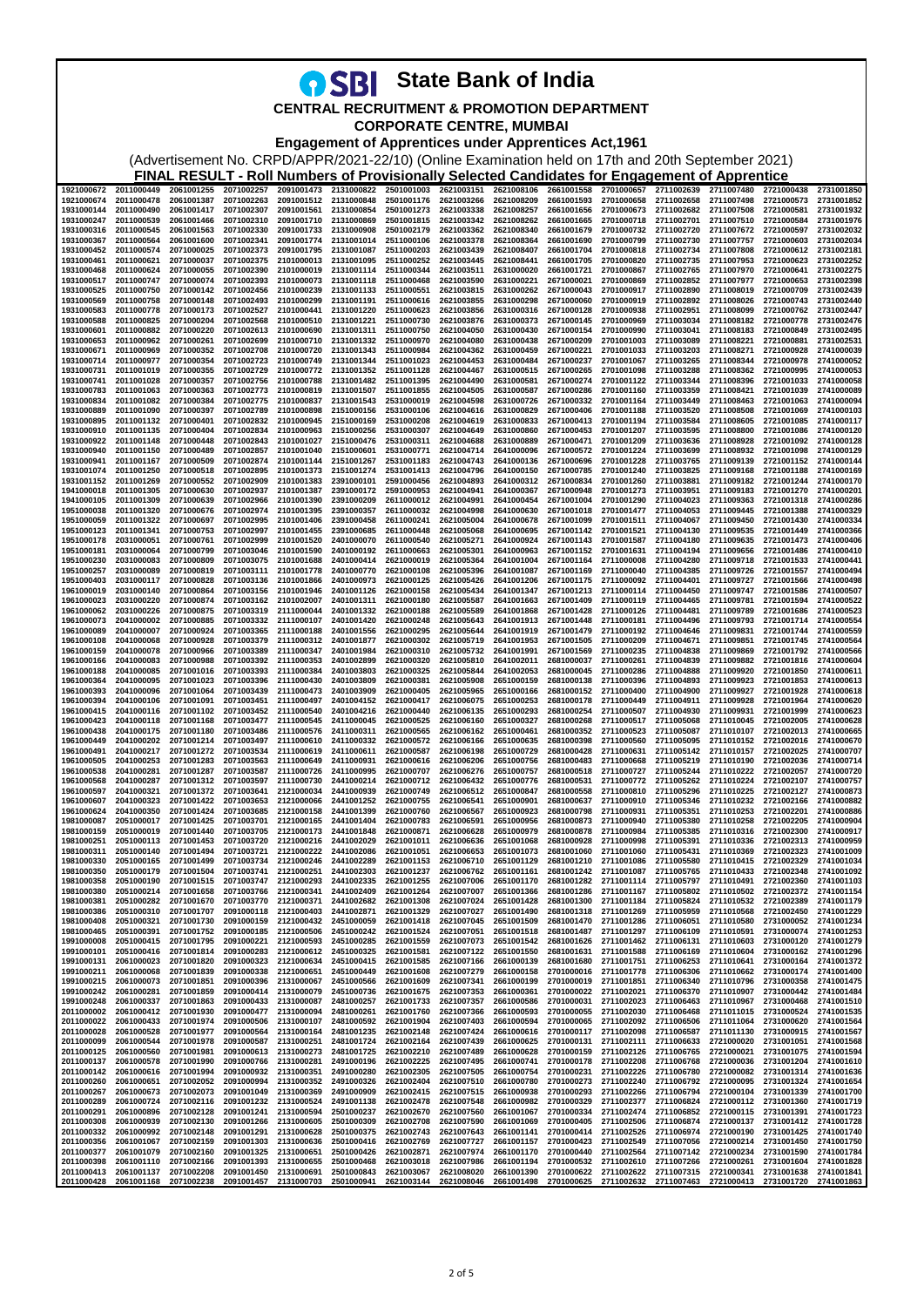# **CENTRAL RECRUITMENT & PROMOTION DEPARTMENT CORPORATE CENTRE, MUMBAI**

**Engagement of Apprentices under Apprentices Act,1961**

(Advertisement No. CRPD/APPR/2021-22/10) (Online Examination held on 17th and 20th September 2021)

| 1921000672                                                                                                                                                           | 2011000449               | 2061001255               | 2071002257               | 2091001473               | 2131000822               | 2501001003               | 2621003151               | 2621008106               | 2661001558               | 2701000657               | 2711002639               | 2711007480               | 2721000438               | 2731001850               |
|----------------------------------------------------------------------------------------------------------------------------------------------------------------------|--------------------------|--------------------------|--------------------------|--------------------------|--------------------------|--------------------------|--------------------------|--------------------------|--------------------------|--------------------------|--------------------------|--------------------------|--------------------------|--------------------------|
| 1921000674                                                                                                                                                           | 2011000478               | 2061001387               | 2071002263               | 2091001512               | 2131000848               | 2501001176               | 2621003266               | 2621008209               | 2661001593               | 2701000658               | 2711002658               | 2711007498               | 2721000573               | 2731001852               |
| 1931000144                                                                                                                                                           | 2011000490               | 2061001417               | 2071002307               | 2091001561               | 2131000854               | 2501001273               | 2621003338               | 2621008257               | 2661001656               | 2701000673               | 2711002682               | 2711007508               | 2721000581               | 2731001932               |
| 1931000247                                                                                                                                                           | 2011000539               | 2061001466               | 2071002310               | 2091001710               | 2131000869               | 2501001815               | 2621003342               | 2621008262               | 2661001665               | 2701000718               | 2711002701               | 2711007510               | 2721000584               | 2731001976               |
| 1931000316                                                                                                                                                           | 2011000545               | 2061001563               | 2071002330               | 2091001733               | 2131000908               | 2501002179               | 2621003362               | 2621008340               | 2661001679               | 2701000732               | 2711002720               | 2711007672               | 2721000597               | 2731002032               |
| 1931000367                                                                                                                                                           | 2011000564               | 2061001600               | 2071002341               | 2091001774               | 2131001014               | 2511000106               | 2621003378               | 2621008364               | 2661001690               | 2701000799               | 2711002730               | 2711007757               | 2721000603               | 2731002034               |
| 1931000452                                                                                                                                                           | 2011000574               | 2071000025               | 2071002373               | 2091001795               | 2131001087               | 2511000203               | 2621003439               | 2621008407               | 2661001704               | 2701000818               | 2711002734               | 2711007808               | 2721000612               | 2731002181               |
| 1931000461                                                                                                                                                           | 2011000621               | 2071000037               | 2071002375               | 2101000013               | 2131001095               | 2511000252               | 2621003445               | 2621008441               | 2661001705               | 2701000820               | 2711002735               | 2711007953               | 2721000623               | 2731002252               |
| 1931000468                                                                                                                                                           | 2011000624               | 2071000055               | 2071002390               | 2101000019               | 2131001114               | 2511000344               | 2621003511               | 2631000020               | 2661001721               | 2701000867               | 2711002765               | 2711007970               | 2721000641               | 2731002275               |
| 1931000517                                                                                                                                                           | 2011000747               | 2071000074               | 2071002393               | 2101000073               | 2131001118               | 2511000468               | 2621003590               | 2631000221               | 2671000021               | 2701000869               | 2711002852               | 2711007977               | 2721000653               | 2731002398               |
| 1931000525                                                                                                                                                           | 2011000750               | 2071000142               | 2071002456               | 2101000239               | 2131001133               | 2511000551               | 2621003815               | 2631000262               | 2671000043               | 2701000917               | 2711002890               | 2711008019               | 2721000709               | 2731002439               |
| 1931000569                                                                                                                                                           | 2011000758               | 2071000148               | 2071002493               | 2101000299               | 2131001191               | 2511000616               | 2621003855               | 2631000298               | 2671000060               | 2701000919               | 2711002892               | 2711008026               | 2721000743               | 2731002440               |
| 1931000583                                                                                                                                                           | 2011000778               | 2071000173               | 2071002527               | 2101000441               | 2131001220               | 2511000623               | 2621003856               | 2631000316               | 2671000128               | 2701000938               | 2711002951               | 2711008099               | 2721000762               | 2731002447               |
| 1931000588                                                                                                                                                           | 2011000825               | 2071000204               | 2071002568               | 2101000510               | 2131001221               | 2511000730               | 2621003876               | 2631000373               | 2671000145               | 2701000969               | 2711003034               | 2711008182               | 2721000778               | 2731002476               |
| 1931000601                                                                                                                                                           | 2011000882               | 2071000220               | 2071002613               | 2101000690               | 2131001311               | 2511000750               | 2621004050               | 2631000430               | 2671000154               | 2701000990               | 2711003041               | 2711008183               | 2721000849               | 2731002495               |
| 1931000653<br>1931000671                                                                                                                                             | 2011000962<br>2011000969 | 2071000261<br>2071000352 | 2071002699<br>2071002708 | 2101000710<br>2101000720 | 2131001332<br>2131001343 | 2511000970<br>2511000984 | 2621004080<br>2621004362 | 2631000438<br>2631000459 | 2671000209<br>2671000221 | 2701001003<br>2701001033 | 2711003089<br>2711003203 | 2711008221<br>2711008271 | 2721000881<br>2721000928 | 2731002531<br>2741000039 |
| 1931000714                                                                                                                                                           | 2011000977               | 2071000354               | 2071002723               | 2101000749               | 2131001344               | 2511001023               | 2621004453               | 2631000484               | 2671000237               | 2701001067               | 2711003265               | 2711008344               | 2721000978               | 2741000052               |
| 1931000731                                                                                                                                                           | 2011001019               | 2071000355               | 2071002729               | 2101000772               | 2131001352               | 2511001128               | 2621004467               | 2631000515               | 2671000265               | 2701001098               | 2711003288               | 2711008362               | 2721000995               | 2741000053               |
| 1931000741                                                                                                                                                           | 2011001028               | 2071000357               | 2071002756               | 2101000788               | 2131001482               | 2511001395               | 2621004490               | 2631000581               | 2671000274               | 2701001122               | 2711003344               | 2711008396               | 2721001033               | 2741000058               |
| 1931000783                                                                                                                                                           | 2011001063               | 2071000363               | 2071002773               | 2101000819               | 2131001507               | 2511001855               | 2621004505               | 2631000587               | 2671000286               | 2701001160               | 2711003359               | 2711008421               | 2721001039               | 2741000089               |
| 1931000834                                                                                                                                                           | 2011001082               | 2071000384               | 2071002775               | 2101000837               | 2131001543               | 2531000019               | 2621004598               | 2631000726               | 2671000332               | 2701001164               | 2711003449               | 2711008463               | 2721001063               | 2741000094               |
| 1931000889                                                                                                                                                           | 2011001090               | 2071000397               | 2071002789               | 2101000898               | 2151000156               | 2531000106               | 2621004616               | 2631000829               | 2671000406               | 2701001188               | 2711003520               | 2711008508               | 2721001069               | 2741000103               |
| 1931000895                                                                                                                                                           | 2011001132               | 2071000401               | 2071002832               | 2101000945               | 2151000169               | 2531000208               | 2621004619               | 2631000833               | 2671000413               | 2701001194               | 2711003584               | 2711008605               | 2721001085               | 2741000117               |
| 1931000910                                                                                                                                                           | 2011001135               | 2071000404               | 2071002834               | 2101000963               | 2151000256               | 2531000307               | 2621004649               | 2631000860               | 2671000453               | 2701001207               | 2711003595               | 2711008800               | 2721001086               | 2741000120               |
| 1931000922                                                                                                                                                           | 2011001148               | 2071000448               | 2071002843               | 2101001027               | 2151000476               | 2531000311               | 2621004688               | 2631000889               | 2671000471               | 2701001209               | 2711003636               | 2711008928               | 2721001092               | 2741000128               |
| 1931000940                                                                                                                                                           | 2011001150               | 2071000489               | 2071002857               | 2101001040               | 2151000601               | 2531000771               | 2621004714               | 2641000096               | 2671000572               | 2701001224               | 2711003699               | 2711008932               | 2721001098               | 2741000129               |
| 1931000941                                                                                                                                                           | 2011001167               | 2071000509               | 2071002874               | 2101001144               | 2151001267               | 2531001183               | 2621004743               | 2641000136               | 2671000696               | 2701001228               | 2711003765               | 2711009139               | 2721001152               | 2741000144               |
| 1931001074                                                                                                                                                           | 2011001250               | 2071000518               | 2071002895               | 2101001373               | 2151001274               | 2531001413               | 2621004796               | 2641000150               | 2671000785               | 2701001240               | 2711003825               | 2711009168               | 2721001188               | 2741000169               |
| 1931001152                                                                                                                                                           | 2011001269               | 2071000552               | 2071002909               | 2101001383               | 2391000101               | 2591000456               | 2621004893               | 2641000312               | 2671000834               | 2701001260               | 2711003881               | 2711009182               | 2721001244               | 2741000170               |
| 1941000018<br>1941000105                                                                                                                                             | 2011001305<br>2011001309 | 2071000630<br>2071000639 | 2071002937<br>2071002966 | 2101001387<br>2101001390 | 2391000172<br>2391000209 | 2591000953<br>2611000012 | 2621004941<br>2621004991 | 2641000367<br>2641000454 | 2671000948<br>2671001004 | 2701001273<br>2701001290 | 2711003951<br>2711004023 | 2711009183<br>2711009363 | 2721001270<br>2721001318 | 2741000201<br>2741000286 |
| 1951000038                                                                                                                                                           | 2011001320               | 2071000676               | 2071002974               | 2101001395               | 2391000357               | 2611000032               | 2621004998               | 2641000630               | 2671001018               | 2701001477               | 2711004053               | 2711009445               | 2721001388               | 2741000329               |
| 1951000059                                                                                                                                                           | 2011001322               | 2071000697               | 2071002995               | 2101001406               | 2391000458               | 2611000241               | 2621005004               | 2641000678               | 2671001099               | 2701001511               | 2711004067               | 2711009450               | 2721001430               | 2741000334               |
| 1951000123                                                                                                                                                           | 2011001341               | 2071000753               | 2071002997               | 2101001455               | 2391000685               | 2611000448               | 2621005068               | 2641000695               | 2671001142               | 2701001521               | 2711004130               | 2711009535               | 2721001449               | 2741000366               |
| 1951000178                                                                                                                                                           | 2031000051               | 2071000761               | 2071002999               | 2101001520               | 2401000070               | 2611000540               | 2621005271               | 2641000924               | 2671001143               | 2701001587               | 2711004180               | 2711009635               | 2721001473               | 2741000406               |
| 1951000181                                                                                                                                                           | 2031000064               | 2071000799               | 2071003046               | 2101001590               | 2401000192               | 2611000663               | 2621005301               | 2641000963               | 2671001152               | 2701001631               | 2711004194               | 2711009656               | 2721001486               | 2741000410               |
| 1951000230                                                                                                                                                           | 2031000083               | 2071000809               | 2071003075               | 2101001688               | 2401000414               | 2621000019               | 2621005364               | 2641001004               | 2671001164               | 2711000008               | 2711004280               | 2711009718               | 2721001533               | 2741000441               |
| 1951000257                                                                                                                                                           | 2031000089               | 2071000819               | 2071003111               | 2101001778               | 2401000770               | 2621000108               | 2621005396               | 2641001087               | 2671001169               | 2711000040               | 2711004385               | 2711009726               | 2721001557               | 2741000494               |
| 1951000403                                                                                                                                                           | 2031000117               | 2071000828               | 2071003136               | 2101001866               | 2401000973               | 2621000125               | 2621005426               | 2641001206               | 2671001175               | 2711000092               | 2711004401               | 2711009727               | 2721001566               | 2741000498               |
| 1961000019                                                                                                                                                           | 2031000140               | 2071000864               | 2071003156               | 2101001946               | 2401001126               | 2621000158               | 2621005434               | 2641001347               | 2671001213               | 2711000114               | 2711004450               | 2711009747               | 2721001586               | 2741000507               |
| 1961000023                                                                                                                                                           | 2031000220               | 2071000874               | 2071003162               | 2101002007               | 2401001311               | 2621000180               | 2621005587               | 2641001663               | 2671001409               | 2711000119               | 2711004465               | 2711009781               | 2721001594               | 2741000522               |
| 1961000062                                                                                                                                                           | 2031000226<br>2041000002 | 2071000875               | 2071003319<br>2071003332 | 2111000044               | 2401001332               | 2621000188               | 2621005589               | 2641001868               | 2671001428               | 2711000126               | 2711004481               | 2711009789               | 2721001686               | 2741000523               |
| 1961000073<br>1961000089                                                                                                                                             | 2041000007               | 2071000885<br>2071000924 | 2071003365               | 2111000107<br>2111000188 | 2401001420<br>2401001556 | 2621000248<br>2621000295 | 2621005643<br>2621005644 | 2641001913<br>2641001919 | 2671001448<br>2671001479 | 2711000181<br>2711000192 | 2711004496<br>2711004646 | 2711009793<br>2711009831 | 2721001714<br>2721001744 | 2741000554<br>2741000559 |
| 1961000108                                                                                                                                                           | 2041000068               | 2071000928               | 2071003379               | 2111000312               | 2401001877               | 2621000302               | 2621005719               | 2641001953               | 2671001505               | 2711000209               | 2711004671               | 2711009851               | 2721001745               | 2741000564               |
| 1961000159                                                                                                                                                           | 2041000078               | 2071000966               | 2071003389               | 2111000347               | 2401001984               | 2621000310               | 2621005732               | 2641001991               | 2671001569               | 2711000235               | 2711004838               | 2711009869               | 2721001792               | 2741000566               |
| 1961000166                                                                                                                                                           | 2041000083               | 2071000988               | 2071003392               | 2111000353               | 2401002899               | 2621000320               | 2621005810               | 2641002011               | 2681000037               | 2711000261               | 2711004839               | 2711009882               | 2721001816               | 2741000604               |
| 1961000188                                                                                                                                                           | 2041000085               | 2071001016               | 2071003393               | 2111000384               | 2401003803               | 2621000325               | 2621005844               | 2641002053               | 2681000045               | 2711000286               | 2711004888               | 2711009920               | 2721001850               | 2741000611               |
| 1961000364                                                                                                                                                           | 2041000095               | 2071001023               | 2071003396               | 2111000430               | 2401003809               | 2621000381               | 2621005908               | 2651000159               | 2681000138               | 2711000396               | 2711004893               | 2711009923               | 2721001853               | 2741000613               |
| 1961000393                                                                                                                                                           | 2041000096               | 2071001064               | 2071003439               | 2111000473               | 2401003909               | 2621000405               | 2621005965               | 2651000166               | 2681000152               | 2711000400               | 2711004900               | 2711009927               | 2721001928               | 2741000618               |
| 1961000394                                                                                                                                                           | 2041000106               | 2071001091               | 2071003451               | 2111000497               | 2401004152               | 2621000417               | 2621006075               | 2651000253               | 2681000178               | 2711000449               | 2711004911               | 2711009928               | 2721001964               | 2741000620               |
| 1961000415<br>1961000423                                                                                                                                             | 2041000116<br>2041000118 | 2071001102<br>2071001168 | 2071003452<br>2071003477 | 2111000540<br>2111000545 | 2401004216<br>2411000045 | 2621000440<br>2621000525 | 2621006135<br>2621006160 | 2651000293<br>2651000327 | 2681000254<br>2681000268 | 2711000507<br>2711000517 | 2711004930<br>2711005068 | 2711009931<br>2711010045 | 2721001999<br>2721002005 | 2741000623<br>2741000628 |
| 1961000438                                                                                                                                                           | 2041000175               | 2071001180               | 2071003486               | 2111000576               | 2411000311               | 2621000565               | 2621006162               | 2651000461               | 2681000352               | 2711000523               | 2711005087               | 2711010107               | 2721002013               | 2741000665               |
| 1961000449                                                                                                                                                           | 2041000202               | 2071001214               | 2071003497               | 2111000610               | 2411000332               | 2621000572               | 2621006166               | 2651000635               | 2681000398               | 2711000560               | 2711005095               | 2711010152               | 2721002016               | 2741000670               |
| 1961000491                                                                                                                                                           | 2041000217               | 2071001272               | 2071003534               | 2111000619               | 2411000611               | 2621000587               | 2621006198               | 2651000729               | 2681000428               | 2711000631               | 2711005142               | 2711010157               | 2721002025               | 2741000707               |
| 1961000505                                                                                                                                                           | 2041000253               | 2071001283               | 2071003563               | 2111000649               | 2411000931               | 2621000616               | 2621006206               | 2651000756               | 2681000483               | 2711000668               | 2711005219               | 2711010190               | 2721002036               | 2741000714               |
| 1961000538                                                                                                                                                           | 2041000281               | 2071001287               | 2071003587               | 2111000726               | 2411000995               | 2621000707               | 2621006276               | 2651000757               | 2681000518               | 2711000727               | 2711005244               | 2711010222               | 2721002057               | 2741000720               |
| 1961000568                                                                                                                                                           | 2041000287               | 2071001312               | 2071003597               | 2111000730               | 2441000214               | 2621000712               | 2621006432               | 2651000776               | 2681000531               | 2711000772               | 2711005262               | 2711010224               | 2721002107               | 2741000757               |
| 1961000597                                                                                                                                                           | 2041000321               | 2071001372               | 2071003641               | 2121000034               | 2441000939               | 2621000749               | 2621006512               | 2651000847               | 2681000558               | 2711000810               | 2711005296               | 2711010225               | 2721002127               | 2741000873               |
| 1961000607                                                                                                                                                           | 2041000323               | 2071001422               | 2071003653               | 2121000066               | 2441001252               | 2621000755               | 2621006541               | 2651000901               | 2681000637               | 2711000910               | 2711005346               | 2711010232               | 2721002166               | 2741000882               |
| 1961000624<br>1981000087                                                                                                                                             | 2041000350<br>2051000017 | 2071001424<br>2071001425 | 2071003685<br>2071003701 | 2121000158<br>2121000165 | 2441001399<br>2441001404 | 2621000760<br>2621000783 | 2621006567<br>2621006591 | 2651000923<br>2651000956 | 2681000798<br>2681000873 | 2711000931<br>2711000940 | 2711005351<br>2711005380 | 2711010253<br>2711010258 | 2721002201<br>2721002205 | 2741000886<br>2741000904 |
| 1981000159                                                                                                                                                           | 2051000019               | 2071001440               | 2071003705               | 2121000173               | 2441001848               | 2621000871               | 2621006628               | 2651000979               | 2681000878               | 2711000984               | 2711005385               | 2711010316               | 2721002300               | 2741000917               |
| 1981000251                                                                                                                                                           | 2051000113               | 2071001453               | 2071003720               | 2121000216               | 2441002029               | 2621001011               | 2621006636               | 2651001068               | 2681000928               | 2711000998               | 2711005391               | 2711010336               | 2721002313               | 2741000959               |
| 1981000311                                                                                                                                                           | 2051000140               | 2071001494               | 2071003721               | 2121000222               | 2441002086               | 2621001051               | 2621006653               | 2651001073               | 2681001060               | 2711001060               | 2711005431               | 2711010369               | 2721002323               | 2741001009               |
| 1981000330                                                                                                                                                           | 2051000165               | 2071001499               | 2071003734               | 2121000246               | 2441002289               | 2621001153               | 2621006710               | 2651001129               | 2681001210               | 2711001086               | 2711005580               | 2711010415               | 2721002329               | 2741001034               |
| 1981000350                                                                                                                                                           | 2051000179               | 2071001504               | 2071003741               | 2121000251               | 2441002303               | 2621001237               | 2621006762               | 2651001161               | 2681001242               | 2711001087               | 2711005765               | 2711010433               | 2721002348               | 2741001092               |
| 1981000358                                                                                                                                                           | 2051000190               | 2071001515               | 2071003747               | 2121000293               | 2441002335               | 2621001255               | 2621007006               | 2651001170               | 2681001282               | 2711001114               | 2711005797               | 2711010491               | 2721002360               | 2741001103               |
| 1981000380                                                                                                                                                           | 2051000214               | 2071001658               | 2071003766               | 2121000341               | 2441002409               | 2621001264               | 2621007007               | 2651001366               | 2681001286               | 2711001167               | 2711005802               | 2711010502               | 2721002372               | 2741001154               |
| 1981000381                                                                                                                                                           | 2051000282               | 2071001670               | 2071003770               | 2121000371               | 2441002682               | 2621001308               | 2621007024               | 2651001428               | 2681001300               | 2711001184               | 2711005824               | 2711010532               | 2721002389               | 2741001179               |
| 1981000386                                                                                                                                                           | 2051000310               | 2071001707               | 2091000118               | 2121000403               | 2441002871               | 2621001329               | 2621007027               | 2651001490               | 2681001318               | 2711001269               | 2711005959               | 2711010568               | 2721002450               | 2741001229               |
| 1981000408<br>1981000465                                                                                                                                             | 2051000321<br>2051000391 | 2071001730               | 2091000159<br>2091000185 | 2121000432               | 2451000059               | 2621001418               | 2621007045               | 2651001509<br>2651001518 | 2681001470               | 2711001286               | 2711006051               | 2711010580               | 2731000052               | 2741001234<br>2741001253 |
| 1991000008                                                                                                                                                           | 2051000415               | 2071001752<br>2071001795 | 2091000221               | 2121000506<br>2121000593 | 2451000242<br>2451000285 | 2621001524<br>2621001559 | 2621007051<br>2621007073 | 2651001542               | 2681001487<br>2681001626 | 2711001297<br>2711001462 | 2711006109<br>2711006131 | 2711010591<br>2711010603 | 2731000074<br>2731000120 | 2741001279               |
| 1991000101                                                                                                                                                           | 2051000416               | 2071001814               | 2091000283               | 2121000612               | 2451000325               | 2621001581               | 2621007122               | 2651001550               | 2681001631               | 2711001588               | 2711006169               | 2711010604               | 2731000162               | 2741001296               |
| 1991000131                                                                                                                                                           | 2061000023               | 2071001820               | 2091000323               | 2121000634               | 2451000415               | 2621001585               | 2621007166               | 2661000139               | 2681001680               | 2711001751               | 2711006253               | 2711010641               | 2731000164               | 2741001372               |
| 1991000211                                                                                                                                                           | 2061000068               | 2071001839               | 2091000338               | 2121000651               | 2451000449               | 2621001608               | 2621007279               | 2661000158               | 2701000016               | 2711001778               | 2711006306               | 2711010662               | 2731000174               | 2741001400               |
| 1991000215                                                                                                                                                           | 2061000073               | 2071001851               | 2091000396               | 2131000067               | 2451000566               | 2621001609               | 2621007341               | 2661000199               | 2701000019               | 2711001851               | 2711006340               | 2711010796               | 2731000358               | 2741001475               |
| 1991000242                                                                                                                                                           | 2061000281               | 2071001859               | 2091000414               | 2131000079               | 2451000736               | 2621001675               | 2621007353               | 2661000361               | 2701000022               | 2711002021               | 2711006370               | 2711010907               | 2731000442               | 2741001484               |
| 1991000248                                                                                                                                                           | 2061000337               | 2071001863               | 2091000433               | 2131000087               | 2481000257               | 2621001733               | 2621007357               | 2661000586               | 2701000031               | 2711002023               | 2711006463               | 2711010967               | 2731000468               | 2741001510               |
| 2011000002                                                                                                                                                           | 2061000412               | 2071001930               | 2091000477               | 2131000094               | 2481000261               | 2621001760               | 2621007366               | 2661000593               | 2701000055               | 2711002030               | 2711006468               | 2711011015               | 2731000524               | 2741001535               |
| 2011000022<br>2011000028                                                                                                                                             | 2061000433<br>2061000528 | 2071001974<br>2071001977 | 2091000506<br>2091000564 | 2131000107               | 2481000592<br>2481001235 | 2621001904               | 2621007403<br>2621007424 | 2661000594<br>2661000616 | 2701000065<br>2701000117 | 2711002092               | 2711006506<br>2711006587 | 2711011064<br>2711011130 | 2731000620<br>2731000915 | 2741001564<br>2741001567 |
| 2011000099                                                                                                                                                           | 2061000544               | 2071001978               | 2091000587               | 2131000164<br>2131000251 | 2481001724               | 2621002148<br>2621002164 | 2621007439               | 2661000625               | 2701000131               | 2711002098<br>2711002111 | 2711006633               | 2721000020               | 2731001051               | 2741001568               |
| 2011000125                                                                                                                                                           | 2061000560               | 2071001981               | 2091000613               | 2131000273               | 2481001725               | 2621002210               | 2621007489               | 2661000628               | 2701000159               | 2711002126               | 2711006765               | 2721000021               | 2731001075               | 2741001594               |
| 2011000137                                                                                                                                                           | 2061000578               | 2071001990               | 2091000766               | 2131000281               | 2491000196               | 2621002225               | 2621007495               | 2661000741               | 2701000178               | 2711002208               | 2711006768               | 2721000036               | 2731001204               | 2741001610               |
| 2011000142                                                                                                                                                           | 2061000616               | 2071001994               | 2091000932               | 2131000351               | 2491000280               | 2621002305               | 2621007505               | 2661000754               | 2701000231               | 2711002226               | 2711006780               | 2721000082               | 2731001314               | 2741001636               |
| 2011000260                                                                                                                                                           | 2061000651               | 2071002052               | 2091000994               | 2131000352               | 2491000326               | 2621002404               | 2621007510               | 2661000780               | 2701000273               | 2711002240               | 2711006792               | 2721000095               | 2731001324               | 2741001654               |
| 2011000267                                                                                                                                                           | 2061000673               | 2071002073               | 2091001049               | 2131000369               | 2491000909               | 2621002415               | 2621007515               | 2661000938               | 2701000293               | 2711002266               | 2711006794               | 2721000104               | 2731001339               | 2741001700               |
| 2011000289                                                                                                                                                           | 2061000724               | 2071002116               | 2091001232               | 2131000524               | 2491001138               | 2621002478               | 2621007548               | 2661000982               | 2701000329               | 2711002377               | 2711006824               | 2721000112               | 2731001360               | 2741001719               |
| 2011000291                                                                                                                                                           | 2061000896               | 2071002128               | 2091001241               | 2131000594               | 2501000237               | 2621002670               | 2621007560               | 2661001067               | 2701000334               | 2711002474               | 2711006852               | 2721000115               | 2731001391               | 2741001723               |
| 2011000308                                                                                                                                                           | 2061000939<br>2061000992 | 2071002130               | 2091001266               | 2131000605               | 2501000309<br>2501000375 | 2621002708               | 2621007590               | 2661001069               | 2701000405               | 2711002506               | 2711006874               | 2721000137               | 2731001412<br>2731001425 | 2741001728               |
| 2011000332<br>2011000356                                                                                                                                             | 2061001067               | 2071002148<br>2071002159 | 2091001291<br>2091001303 | 2131000628<br>2131000636 | 2501000416               | 2621002743<br>2621002769 | 2621007643<br>2621007727 | 2661001141<br>2661001157 | 2701000414<br>2701000423 | 2711002526<br>2711002549 | 2711006974<br>2711007056 | 2721000190<br>2721000214 | 2731001450               | 2741001740<br>2741001750 |
| 2011000377                                                                                                                                                           | 2061001079               | 2071002160               | 2091001325               | 2131000651               | 2501000426               | 2621002871               | 2621007974               | 2661001170               | 2701000440               | 2711002564               | 2711007142               | 2721000234               | 2731001590               | 2741001784               |
| 2011000398                                                                                                                                                           | 2061001110               | 2071002166               | 2091001393               | 2131000655               | 2501000468               | 2621003018               | 2621007986               | 2661001194               | 2701000532               | 2711002610               | 2711007266               | 2721000261               | 2731001604               | 2741001828               |
| 2011000413 2061001137 2071002208 2091001450 2131000691 2501000843 2621003067 2621008020 2661001390 2701000622 2711002622 2711007315 2721000341 2731001638 2741001841 |                          |                          |                          |                          |                          |                          |                          |                          |                          |                          |                          |                          |                          |                          |
| 2011000428 2061001168 2071002238 2091001457 2131000703 2501000941 2621003144 2621008046 2661001498 2701000625 2711002632 2711007463 2721000413 2731001720 2741001863 |                          |                          |                          |                          |                          |                          |                          |                          |                          |                          |                          |                          |                          |                          |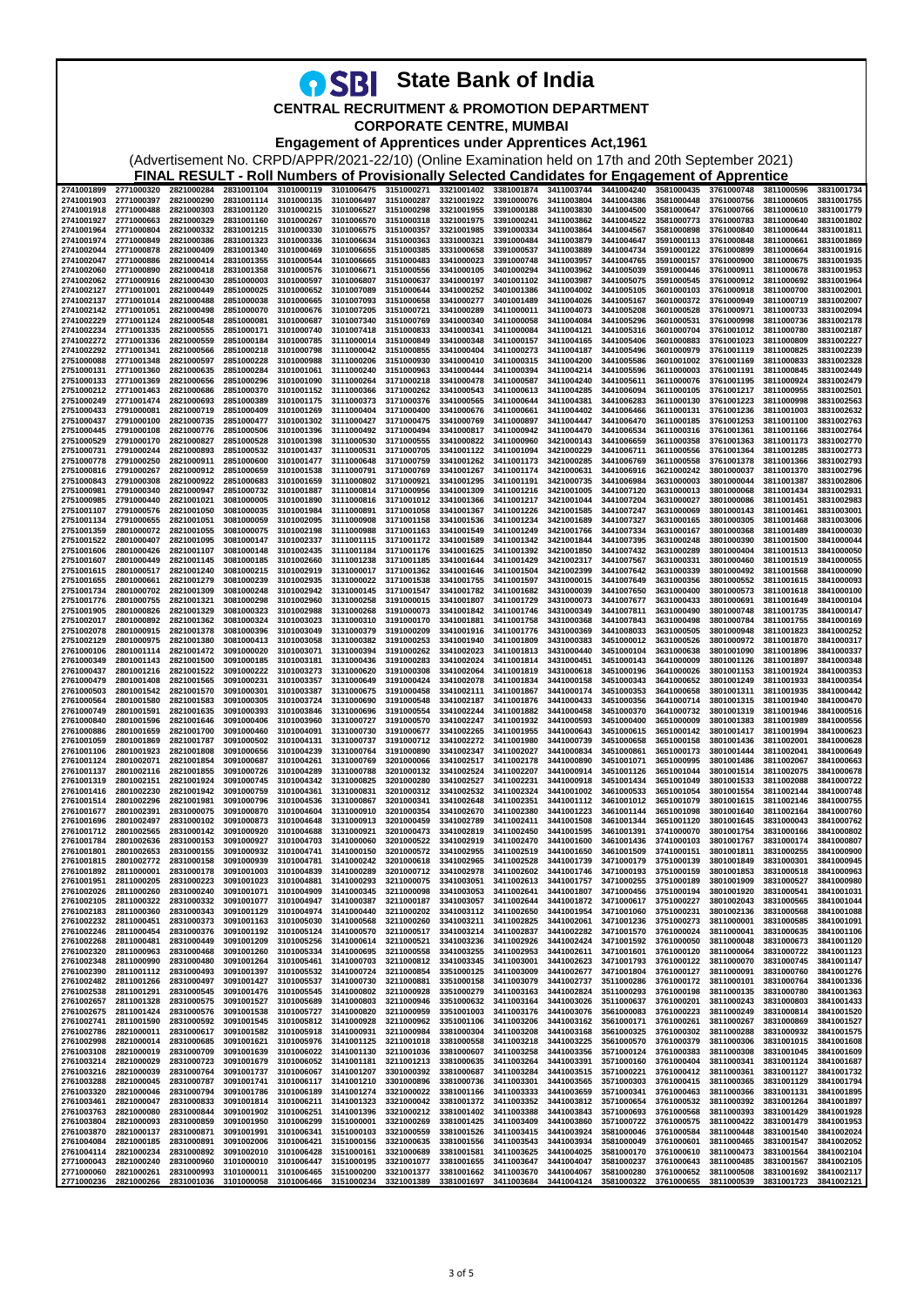# **CENTRAL RECRUITMENT & PROMOTION DEPARTMENT CORPORATE CENTRE, MUMBAI**

**Engagement of Apprentices under Apprentices Act,1961**

(Advertisement No. CRPD/APPR/2021-22/10) (Online Examination held on 17th and 20th September 2021)

| 2741001899                                                                                                                                                           | 2771000320                                                                                                                                                           | 2821000284               | 2831001104               | 3101000119               | 3101006475               | 3151000271               | 3321001402               | 3381001874               | 3411003744               | 3441004240               | 3581000435               | 3761000748               | 3811000596               | 3831001734               |
|----------------------------------------------------------------------------------------------------------------------------------------------------------------------|----------------------------------------------------------------------------------------------------------------------------------------------------------------------|--------------------------|--------------------------|--------------------------|--------------------------|--------------------------|--------------------------|--------------------------|--------------------------|--------------------------|--------------------------|--------------------------|--------------------------|--------------------------|
| 2741001903                                                                                                                                                           | 2771000397                                                                                                                                                           | 2821000290               | 2831001114               | 3101000135               | 3101006497               | 3151000287               | 3321001922               | 3391000076               | 3411003804               | 3441004386               | 3581000448               | 3761000756               | 3811000605               | 3831001755               |
| 2741001918                                                                                                                                                           | 2771000488                                                                                                                                                           | 2821000303               | 2831001120               | 3101000215               | 3101006527               | 3151000298               | 3321001955               | 3391000188               | 3411003830               | 3441004500               | 3581000647               | 3761000766               | 3811000610               | 3831001779               |
| 2741001927                                                                                                                                                           | 2771000663                                                                                                                                                           | 2821000329               | 2831001160               | 3101000267               | 3101006570               | 3151000318               | 3321001975               | 3391000241               | 3411003862               | 3441004522               | 3581000773               | 3761000783               | 3811000640               | 3831001802               |
| 2741001964                                                                                                                                                           | 2771000804                                                                                                                                                           | 2821000332               | 2831001215               | 3101000330               | 3101006575               | 3151000357               | 3321001985               | 3391000334               | 3411003864               | 3441004567               | 3581000898               | 3761000840               | 3811000644               | 3831001811               |
| 2741001974                                                                                                                                                           | 2771000849                                                                                                                                                           | 2821000386               | 2831001323               | 3101000336               | 3101006634               | 3151000363               | 3331000321               | 3391000484               | 3411003879               | 3441004647               | 3591000113               | 3761000848               | 3811000661               | 3831001869               |
| 2741002044                                                                                                                                                           | 2771000878                                                                                                                                                           | 2821000409               | 2831001340               | 3101000469               | 3101006655               | 3151000385               | 3331000658               | 3391000537               | 3411003889               | 3441004734               | 3591000122               | 3761000899               | 3811000664               | 3831001916               |
| 2741002047                                                                                                                                                           | 2771000886                                                                                                                                                           | 2821000414               | 2831001355               | 3101000544               | 3101006665               | 3151000483               | 3341000023               | 3391000748               | 3411003957               | 3441004765               | 3591000157               | 3761000900               | 3811000675               | 3831001935               |
| 2741002060                                                                                                                                                           | 2771000890                                                                                                                                                           | 2821000418               | 2831001358               | 3101000576               | 3101006671               | 3151000556               | 3341000105               | 3401000294               | 3411003962               | 3441005039               | 3591000446               | 3761000911               | 3811000678               | 3831001953               |
| 2741002062                                                                                                                                                           | 2771000916                                                                                                                                                           | 2821000430               | 2851000003               | 3101000597               | 3101006807               | 3151000637               | 3341000197               | 3401001102               | 3411003987               | 3441005075               | 3591000545               | 3761000912               | 3811000692               | 3831001964               |
| 2741002127                                                                                                                                                           | 2771001001                                                                                                                                                           | 2821000449               | 2851000025               | 3101000652               | 3101007089               | 3151000644               | 3341000252               | 3401001386               | 3411004002               | 3441005105               | 3601000103               | 3761000918               | 3811000700               | 3831002001               |
| 2741002137                                                                                                                                                           | 2771001014                                                                                                                                                           | 2821000488               | 2851000038               | 3101000665               | 3101007093               | 3151000658               | 3341000277               | 3401001489               | 3411004026               | 3441005167               | 3601000372               | 3761000949               | 3811000719               | 3831002007               |
| 2741002142<br>2741002229                                                                                                                                             | 2771001051<br>2771001124                                                                                                                                             | 2821000498<br>2821000548 | 2851000070<br>2851000081 | 3101000676<br>3101000687 | 3101007205<br>3101007340 | 3151000721<br>3151000769 | 3341000289<br>3341000340 | 3411000011<br>3411000058 | 3411004073<br>3411004084 | 3441005208<br>3441005296 | 3601000528<br>3601000531 | 3761000971<br>3761000998 | 3811000733<br>3811000736 | 3831002094<br>3831002178 |
| 2741002234                                                                                                                                                           | 2771001335                                                                                                                                                           | 2821000555               | 2851000171               | 3101000740               | 3101007418               | 3151000833               | 3341000341               | 3411000084               | 3411004121               | 3441005316               | 3601000704               | 3761001012               | 3811000780               | 3831002187               |
| 2741002272                                                                                                                                                           | 2771001336                                                                                                                                                           | 2821000559               | 2851000184               | 3101000785               | 3111000014               | 3151000849               | 3341000348               | 3411000157               | 3411004165               | 3441005406               | 3601000883               | 3761001023               | 3811000809               | 3831002227               |
| 2741002292                                                                                                                                                           | 2771001341                                                                                                                                                           | 2821000566               | 2851000218               | 3101000798               | 3111000042               | 3151000855               | 3341000404               | 3411000273               | 3411004187               | 3441005496               | 3601000979               | 3761001119               | 3811000825               | 3831002239               |
| 2751000088                                                                                                                                                           | 2771001348                                                                                                                                                           | 2821000597               | 2851000228               | 3101000988               | 3111000206               | 3151000930               | 3341000410               | 3411000315               | 3411004200               | 3441005586               | 3601001002               | 3761001169               | 3811000833               | 3831002328               |
| 2751000131                                                                                                                                                           | 2771001360                                                                                                                                                           | 2821000635               | 2851000284               | 3101001061               | 3111000240               | 3151000963               | 3341000444               | 3411000394               | 3411004214               | 3441005596               | 3611000003               | 3761001191               | 3811000845               | 3831002449               |
| 2751000133                                                                                                                                                           | 2771001369                                                                                                                                                           | 2821000656               | 2851000296               | 3101001090               | 3111000264               | 3171000218               | 3341000478               | 3411000587               | 3411004240               | 3441005611               | 3611000076               | 3761001195               | 3811000924               | 3831002479               |
| 2751000212                                                                                                                                                           | 2771001463                                                                                                                                                           | 2821000686               | 2851000370               | 3101001152               | 3111000366               | 3171000262               | 3341000543               | 3411000613               | 3411004285               | 3441006094               | 3611000105               | 3761001217               | 3811000955               | 3831002501               |
| 2751000249                                                                                                                                                           | 2771001474                                                                                                                                                           | 2821000693               | 2851000389               | 3101001175               | 3111000373               | 3171000376               | 3341000565               | 3411000644               | 3411004381               | 3441006283               | 3611000130               | 3761001223               | 3811000998               | 3831002563               |
| 2751000433                                                                                                                                                           | 2791000081                                                                                                                                                           | 2821000719               | 2851000409               | 3101001269               | 3111000404               | 3171000400               | 3341000676               | 3411000661               | 3411004402               | 3441006466               | 3611000131               | 3761001236               | 3811001003               | 3831002632               |
| 2751000437                                                                                                                                                           | 2791000100                                                                                                                                                           | 2821000735               | 2851000477               | 3101001302               | 3111000427               | 3171000475               | 3341000769               | 3411000897               | 3411004447               | 3441006470               | 3611000185               | 3761001253               | 3811001100               | 3831002763               |
| 2751000445                                                                                                                                                           | 2791000108                                                                                                                                                           | 2821000776               | 2851000506<br>2851000528 | 3101001396               | 3111000492               | 3171000494               | 3341000817               | 3411000942               | 3411004470               | 3441006534               | 3611000316               | 3761001361               | 3811001166               | 3831002764               |
| 2751000529                                                                                                                                                           | 2791000170<br>2791000244                                                                                                                                             | 2821000827               | 2851000532               | 3101001398               | 3111000530<br>3111000531 | 3171000555<br>3171000705 | 3341000822               | 3411000960<br>3411001094 | 3421000143               | 3441006659               | 3611000358<br>3611000556 | 3761001363               | 3811001173               | 3831002770               |
| 2751000731<br>2751000778                                                                                                                                             | 2791000250                                                                                                                                                           | 2821000893<br>2821000911 | 2851000600               | 3101001437<br>3101001477 | 3111000648               | 3171000759               | 3341001122<br>3341001262 | 3411001173               | 3421000229<br>3421000285 | 3441006711<br>3441006769 | 3611000558               | 3761001364<br>3761001378 | 3811001285<br>3811001366 | 3831002773<br>3831002793 |
| 2751000816                                                                                                                                                           | 2791000267                                                                                                                                                           | 2821000912               | 2851000659               | 3101001538               | 3111000791               | 3171000769               | 3341001267               | 3411001174               | 3421000631               | 3441006916               | 3621000242               | 3801000037               | 3811001370               | 3831002796               |
| 2751000843                                                                                                                                                           | 2791000308                                                                                                                                                           | 2821000922               | 2851000683               | 3101001659               | 3111000802               | 3171000921               | 3341001295               | 3411001191               | 3421000735               | 3441006984               | 3631000003               | 3801000044               | 3811001387               | 3831002806               |
| 2751000981                                                                                                                                                           | 2791000340                                                                                                                                                           | 2821000947               | 2851000732               | 3101001887               | 3111000814               | 3171000956               | 3341001309               | 3411001216               | 3421001005               | 3441007120               | 3631000013               | 3801000068               | 3811001434               | 3831002931               |
| 2751000985                                                                                                                                                           | 2791000440                                                                                                                                                           | 2821001021               | 3081000005               | 3101001890               | 3111000816               | 3171001012               | 3341001366               | 3411001217               | 3421001044               | 3441007204               | 3631000027               | 3801000086               | 3811001451               | 3831002983               |
| 2751001107                                                                                                                                                           | 2791000576                                                                                                                                                           | 2821001050               | 3081000035               | 3101001984               | 3111000891               | 3171001058               | 3341001367               | 3411001226               | 3421001585               | 3441007247               | 3631000069               | 3801000143               | 3811001461               | 3831003001               |
| 2751001134                                                                                                                                                           | 2791000655                                                                                                                                                           | 2821001051               | 3081000059               | 3101002095               | 3111000908               | 3171001158               | 3341001536               | 3411001234               | 3421001689               | 3441007327               | 3631000165               | 3801000305               | 3811001468               | 3831003006               |
| 2751001359                                                                                                                                                           | 2801000072                                                                                                                                                           | 2821001055               | 3081000075               | 3101002198               | 3111000988               | 3171001163               | 3341001549               | 3411001249               | 3421001766               | 3441007334               | 3631000167               | 3801000368               | 3811001489               | 3841000030               |
| 2751001522                                                                                                                                                           | 2801000407                                                                                                                                                           | 2821001095               | 3081000147               | 3101002337               | 3111001115               | 3171001172               | 3341001589               | 3411001342               | 3421001844               | 3441007395               | 3631000248               | 3801000390               | 3811001500               | 3841000044               |
| 2751001606<br>2751001607                                                                                                                                             | 2801000426<br>2801000449                                                                                                                                             | 2821001107<br>2821001145 | 3081000148<br>3081000185 | 3101002435<br>3101002660 | 3111001184<br>3111001238 | 3171001176<br>3171001185 | 3341001625<br>3341001644 | 3411001392<br>3411001429 | 3421001850<br>3421002317 | 3441007432<br>3441007567 | 3631000289<br>3631000331 | 3801000404<br>3801000460 | 3811001513<br>3811001519 | 3841000050<br>3841000055 |
| 2751001615                                                                                                                                                           | 2801000517                                                                                                                                                           | 2821001240               | 3081000215               | 3101002919               | 3131000017               | 3171001362               | 3341001646               | 3411001504               | 3421002399               | 3441007642               | 3631000339               | 3801000492               | 3811001568               | 3841000090               |
| 2751001655                                                                                                                                                           | 2801000661                                                                                                                                                           | 2821001279               | 3081000239               | 3101002935               | 3131000022               | 3171001538               | 3341001755               | 3411001597               | 3431000015               | 3441007649               | 3631000356               | 3801000552               | 3811001615               | 3841000093               |
| 2751001734                                                                                                                                                           | 2801000702                                                                                                                                                           | 2821001309               | 3081000248               | 3101002942               | 3131000145               | 3171001547               | 3341001782               | 3411001682               | 3431000039               | 3441007650               | 3631000400               | 3801000573               | 3811001618               | 3841000100               |
| 2751001776                                                                                                                                                           | 2801000755                                                                                                                                                           | 2821001321               | 3081000298               | 3101002960               | 3131000258               | 3191000015               | 3341001807               | 3411001729               | 3431000073               | 3441007677               | 3631000433               | 3801000691               | 3811001649               | 3841000104               |
| 2751001905                                                                                                                                                           | 2801000826                                                                                                                                                           | 2821001329               | 3081000323               | 3101002988               | 3131000268               | 3191000073               | 3341001842               | 3411001746               | 3431000349               | 3441007811               | 3631000490               | 3801000748               | 3811001735               | 3841000147               |
| 2751002017                                                                                                                                                           | 2801000892                                                                                                                                                           | 2821001362               | 3081000324               | 3101003023               | 3131000310               | 3191000170               | 3341001881               | 3411001758               | 3431000368               | 3441007843               | 3631000498               | 3801000784               | 3811001755               | 3841000169               |
| 2751002078                                                                                                                                                           | 2801000915                                                                                                                                                           | 2821001378               | 3081000396               | 3101003049               | 3131000379               | 3191000209               | 3341001916               | 3411001776               | 3431000369               | 3441008033               | 3631000505               | 3801000948               | 3811001823               | 3841000252               |
| 2751002129<br>2761000106                                                                                                                                             | 2801000975<br>2801001114                                                                                                                                             | 2821001380<br>2821001472 | 3081000413<br>3091000020 | 3101003058<br>3101003071 | 3131000382<br>3131000394 | 3191000253<br>3191000262 | 3341001940<br>3341002023 | 3411001809<br>3411001813 | 3431000383<br>3431000440 | 3451000012<br>3451000104 | 3631000526<br>3631000638 | 3801000972<br>3801001090 | 3811001870<br>3811001896 | 3841000317<br>3841000337 |
| 2761000349                                                                                                                                                           | 2801001143                                                                                                                                                           | 2821001500               | 3091000185               | 3101003181               | 3131000436               | 3191000283               | 3341002024               | 3411001814               | 3431000451               | 3451000143               | 3641000009               | 3801001126               | 3811001897               | 3841000348               |
| 2761000437                                                                                                                                                           | 2801001216                                                                                                                                                           | 2821001522               | 3091000222               | 3101003273               | 3131000620               | 3191000308               | 3341002064               | 3411001819               | 3431000618               | 3451000196               | 3641000026               | 3801001153               | 3811001924               | 3841000353               |
| 2761000479                                                                                                                                                           | 2801001408                                                                                                                                                           | 2821001565               | 3091000231               | 3101003357               | 3131000649               | 3191000424               | 3341002078               | 3411001834               | 3441000158               | 3451000343               | 3641000652               | 3801001249               | 3811001933               | 3841000354               |
| 2761000503                                                                                                                                                           | 2801001542                                                                                                                                                           | 2821001570               | 3091000301               | 3101003387               | 3131000675               | 3191000458               | 3341002111               | 3411001867               | 3441000174               | 3451000353               | 3641000658               | 3801001311               | 3811001935               | 3841000442               |
| 2761000564                                                                                                                                                           | 2801001580                                                                                                                                                           | 2821001583               | 3091000305               | 3101003724               | 3131000690               | 3191000548               | 3341002187               | 3411001876               | 3441000433               | 3451000356               | 3641000714               | 3801001315               | 3811001940               | 3841000470               |
| 2761000749                                                                                                                                                           | 2801001591                                                                                                                                                           | 2821001635               | 3091000393               | 3101003846               | 3131000696               | 3191000554               | 3341002244               | 3411001882               | 3441000458               | 3451000370               | 3641000732               | 3801001319               | 3811001946               | 3841000516               |
| 2761000840                                                                                                                                                           | 2801001596                                                                                                                                                           | 2821001646               | 3091000406               | 3101003960               | 3131000727               | 3191000570               | 3341002247               | 3411001932               | 3441000593               | 3451000400               | 3651000009               | 3801001383               | 3811001989               | 3841000556               |
| 2761000886                                                                                                                                                           | 2801001659                                                                                                                                                           | 2821001700               | 3091000460               | 3101004091               | 3131000730               | 3191000677               | 3341002265               | 3411001955               | 3441000643               | 3451000615               | 3651000142               | 3801001417               | 3811001994               | 3841000623               |
| 2761001059<br>2761001106                                                                                                                                             | 2801001869<br>2801001923                                                                                                                                             | 2821001787<br>2821001808 | 3091000502<br>3091000656 | 3101004131<br>3101004239 | 3131000737<br>3131000764 | 3191000712<br>3191000890 | 3341002272<br>3341002347 | 3411001980<br>3411002027 | 3441000739<br>3441000834 | 3451000658<br>3451000861 | 3651000158<br>3651000173 | 3801001436<br>3801001444 | 3811002001<br>3811002041 | 3841000628<br>3841000649 |
| 2761001124                                                                                                                                                           | 2801002071                                                                                                                                                           | 2821001854               | 3091000687               | 3101004261               | 3131000769               | 3201000066               | 3341002517               | 3411002178               | 3441000890               | 3451001071               | 3651000995               | 3801001486               | 3811002067               | 3841000663               |
| 2761001137                                                                                                                                                           | 2801002116                                                                                                                                                           | 2821001855               | 3091000726               | 3101004289               | 3131000788               | 3201000132               | 3341002524               | 3411002207               | 3441000914               | 3451001126               | 3651001044               | 3801001514               | 3811002075               | 3841000678               |
| 2761001319                                                                                                                                                           | 2801002151                                                                                                                                                           | 2821001924               | 3091000745               | 3101004342               | 3131000825               | 3201000280               | 3341002527               | 3411002231               | 3441000918               | 3451001434               | 3651001049               | 3801001533               | 3811002088               | 3841000722               |
| 2761001416                                                                                                                                                           | 2801002230                                                                                                                                                           | 2821001942               | 3091000759               | 3101004361               | 3131000831               | 3201000312               | 3341002532               | 3411002324               | 3441001002               | 3461000533               | 3651001054               | 3801001554               | 3811002144               | 3841000748               |
| 2761001514                                                                                                                                                           | 2801002296                                                                                                                                                           | 2821001981               | 3091000796               | 3101004536               | 3131000867               | 3201000341               | 3341002648               | 3411002351               | 3441001112               | 3461001012               | 3651001079               | 3801001615               | 3811002146               | 3841000755               |
| 2761001677                                                                                                                                                           | 2801002391                                                                                                                                                           | 2831000075               | 3091000870               | 3101004604               | 3131000910               | 3201000354               | 3341002670               | 3411002380               | 3441001223               | 3461001144               | 3651001098               | 3801001640               | 3811002164               | 3841000760               |
| 2761001696                                                                                                                                                           | 2801002497                                                                                                                                                           | 2831000102               | 3091000873               | 3101004648               | 3131000913               | 3201000459               | 3341002789               | 3411002411               | 3441001508               | 3461001344               | 3651001120               | 3801001645               | 3831000043               | 3841000762               |
| 2761001712                                                                                                                                                           | 2801002565                                                                                                                                                           | 2831000142               | 3091000920               | 3101004688               | 3131000921               | 3201000473               | 3341002819               | 3411002450               | 3441001595               | 3461001391               | 3741000070               | 3801001754               | 3831000166               | 3841000802               |
| 2761001784                                                                                                                                                           | 2801002636                                                                                                                                                           | 2831000153               | 3091000927               | 3101004703               | 3141000060               | 3201000522               | 3341002919               | 3411002470               | 3441001600               | 3461001436               | 3741000103               | 3801001767               | 3831000174               | 3841000807               |
| 2761001801<br>2761001815                                                                                                                                             | 2801002653<br>2801002772                                                                                                                                             | 2831000155<br>2831000158 | 3091000932<br>3091000939 | 3101004741<br>3101004781 | 3141000150<br>3141000242 | 3201000572<br>3201000618 | 3341002955<br>3341002965 | 3411002519<br>3411002528 | 3441001650<br>3441001739 | 3461001509<br>3471000179 | 3741000151<br>3751000139 | 3801001811<br>3801001849 | 3831000255<br>3831000301 | 3841000900<br>3841000945 |
| 2761001892                                                                                                                                                           | 2811000001                                                                                                                                                           | 2831000178               | 3091001003               | 3101004839               | 3141000289               | 3201000712               | 3341002978               | 3411002602               | 3441001746               | 3471000193               | 3751000159               | 3801001853               | 3831000518               | 3841000963               |
| 2761001951                                                                                                                                                           | 2811000205                                                                                                                                                           | 2831000223               | 3091001023               | 3101004881               | 3141000293               | 3211000075               | 3341003051               | 3411002613               | 3441001757               | 3471000255               | 3751000189               | 3801001909               | 3831000527               | 3841000980               |
| 2761002026                                                                                                                                                           | 2811000260                                                                                                                                                           | 2831000240               | 3091001071               | 3101004909               | 3141000345               | 3211000098               | 3341003053               | 3411002641               | 3441001807               | 3471000456               | 3751000194               | 3801001920               | 3831000541               | 3841001031               |
| 2761002105                                                                                                                                                           | 2811000322                                                                                                                                                           | 2831000332               | 3091001077               | 3101004947               | 3141000387               | 3211000187               | 3341003057               | 3411002644               | 3441001872               | 3471000617               | 3751000227               | 3801002043               | 3831000565               | 3841001044               |
| 2761002183                                                                                                                                                           | 2811000360                                                                                                                                                           | 2831000343               | 3091001129               | 3101004974               | 3141000440               | 3211000202               | 3341003112               | 3411002650               | 3441001954               | 3471001060               | 3751000231               | 3801002136               | 3831000568               | 3841001088               |
| 2761002232                                                                                                                                                           | 2811000451<br>2811000454                                                                                                                                             | 2831000373               | 3091001163<br>3091001192 | 3101005030               | 3141000568               | 3211000260               | 3341003211               | 3411002825               | 3441002061               | 3471001236               | 3751000273               | 3811000001               | 3831000585               | 3841001091               |
| 2761002246<br>2761002268                                                                                                                                             | 2811000481                                                                                                                                                           | 2831000376<br>2831000449 | 3091001209               | 3101005124<br>3101005256 | 3141000570<br>3141000614 | 3211000517<br>3211000521 | 3341003214<br>3341003236 | 3411002837<br>3411002926 | 3441002282<br>3441002424 | 3471001570<br>3471001592 | 3761000024<br>3761000050 | 3811000041<br>3811000048 | 3831000635<br>3831000673 | 3841001106<br>3841001120 |
| 2761002320                                                                                                                                                           | 2811000963                                                                                                                                                           | 2831000468               | 3091001260               | 3101005334               | 3141000695               | 3211000558               | 3341003255               | 3411002953               | 3441002611               | 3471001601               | 3761000120               | 3811000064               | 3831000722               | 3841001123               |
| 2761002348                                                                                                                                                           | 2811000990                                                                                                                                                           | 2831000480               | 3091001264               | 3101005461               | 3141000703               | 3211000812               | 3341003345               | 3411003001               | 3441002623               | 3471001793               | 3761000122               | 3811000070               | 3831000745               | 3841001147               |
| 2761002390                                                                                                                                                           | 2811001112                                                                                                                                                           | 2831000493               | 3091001397               | 3101005532               | 3141000724               | 3211000854               | 3351000125               | 3411003009               | 3441002677               | 3471001804               | 3761000127               | 3811000091               | 3831000760               | 3841001276               |
| 2761002482                                                                                                                                                           | 2811001266                                                                                                                                                           | 2831000497               | 3091001427               | 3101005537               | 3141000730               | 3211000881               | 3351000158               | 3411003079               | 3441002737               | 3511000286               | 3761000172               | 3811000101               | 3831000764               | 3841001336               |
| 2761002538                                                                                                                                                           | 2811001291                                                                                                                                                           | 2831000545               | 3091001476               | 3101005545               | 3141000802               | 3211000928               | 3351000279               | 3411003163               | 3441002824               | 3511000293               | 3761000198               | 3811000135               | 3831000780               | 3841001363               |
| 2761002657                                                                                                                                                           | 2811001328                                                                                                                                                           | 2831000575               | 3091001527               | 3101005689               | 3141000803               | 3211000946               | 3351000632               | 3411003164               | 3441003026               | 3511000637               | 3761000201               | 3811000243               | 3831000803               | 3841001433               |
| 2761002675<br>2761002741                                                                                                                                             | 2811001424<br>2811001590                                                                                                                                             | 2831000576<br>2831000592 | 3091001538<br>3091001545 | 3101005727<br>3101005812 | 3141000820<br>3141000928 | 3211000959<br>3211000962 | 3351001003<br>3351001106 | 3411003176<br>3411003206 | 3441003076<br>3441003162 | 3561000083<br>3561000171 | 3761000223<br>3761000261 | 3811000249<br>3811000267 | 3831000814<br>3831000869 | 3841001520<br>3841001527 |
| 2761002786                                                                                                                                                           | 2821000011                                                                                                                                                           | 2831000617               | 3091001582               | 3101005918               | 3141000931               | 3211000984               | 3381000304               | 3411003208               | 3441003168               | 3561000325               | 3761000302               | 3811000288               | 3831000932               | 3841001575               |
| 2761002998                                                                                                                                                           | 2821000014                                                                                                                                                           | 2831000685               | 3091001621               | 3101005976               | 3141001125               | 3211001018               | 3381000558               | 3411003218               | 3441003225               | 3561000570               | 3761000379               | 3811000306               | 3831001015               | 3841001608               |
| 2761003108                                                                                                                                                           | 2821000019                                                                                                                                                           | 2831000709               | 3091001639               | 3101006022               | 3141001130               | 3211001036               | 3381000607               | 3411003258               | 3441003356               | 3571000124               | 3761000383               | 3811000308               | 3831001045               | 3841001609               |
| 2761003214                                                                                                                                                           | 2821000029                                                                                                                                                           | 2831000723               | 3091001679               | 3101006052               | 3141001181               | 3211001213               | 3381000635               | 3411003264               | 3441003391               | 3571000160               | 3761000404               | 3811000341               | 3831001124               | 3841001687               |
| 2761003216                                                                                                                                                           | 2821000039                                                                                                                                                           | 2831000764               | 3091001737               | 3101006067               | 3141001207               | 3301000392               | 3381000687               | 3411003284               | 3441003515               | 3571000221               | 3761000412               | 3811000361               | 3831001127               | 3841001732               |
| 2761003288                                                                                                                                                           | 2821000045                                                                                                                                                           | 2831000787               | 3091001741               | 3101006117               | 3141001210               | 3301000896               | 3381000736               | 3411003301               | 3441003565               | 3571000303               | 3761000415               | 3811000365               | 3831001129               | 3841001794               |
| 2761003320                                                                                                                                                           | 2821000046<br>2821000047                                                                                                                                             | 2831000794<br>2831000833 | 3091001786               | 3101006189               | 3141001274               | 3321000022               | 3381001166               | 3411003333               | 3441003659               | 3571000341               | 3761000463               | 3811000366               | 3831001131               | 3841001895<br>3841001897 |
| 2761003461<br>2761003763                                                                                                                                             | 2821000080                                                                                                                                                           | 2831000844               | 3091001814<br>3091001902 | 3101006211<br>3101006251 | 3141001323<br>3141001396 | 3321000042<br>3321000212 | 3381001372<br>3381001402 | 3411003352<br>3411003388 | 3441003812<br>3441003843 | 3571000654<br>3571000693 | 3761000532<br>3761000568 | 3811000392<br>3811000393 | 3831001264<br>3831001429 | 3841001928               |
| 2761003804                                                                                                                                                           | 2821000093                                                                                                                                                           | 2831000859               | 3091001950               | 3101006299               | 3151000001               | 3321000269               | 3381001425               | 3411003409               | 3441003860               | 3571000722               | 3761000575               | 3811000422               | 3831001479               | 3841001953               |
| 2761003870                                                                                                                                                           | 2821000137                                                                                                                                                           | 2831000871               | 3091001991               | 3101006341               | 3151000103               | 3321000559               | 3381001526               | 3411003415               | 3441003924               | 3581000046               | 3761000584               | 3811000448               | 3831001540               | 3841002024               |
| 2761004084                                                                                                                                                           | 2821000185                                                                                                                                                           | 2831000891               | 3091002006               | 3101006421               | 3151000156               | 3321000635               | 3381001556               | 3411003543               | 3441003934               | 3581000049               | 3761000601               | 3811000465               | 3831001547               | 3841002052               |
| 2761004114                                                                                                                                                           | 2821000234                                                                                                                                                           | 2831000892               | 3091002010               | 3101006428               | 3151000161               | 3321000689               | 3381001581               | 3411003625               | 3441004025               | 3581000170               | 3761000610               | 3811000473               | 3831001564               | 3841002104               |
| 2771000043                                                                                                                                                           | 2821000240                                                                                                                                                           | 2831000960               | 3101000010               | 3101006447               | 3151000195               | 3321001077               | 3381001655               | 3411003647               | 3441004047               | 3581000237               | 3761000643               | 3811000485               | 3831001567               | 3841002105               |
| 2771000060 2821000261 2831000993 3101000011 3101006465 3151000200 3321001377 3381001662 3411003670 3441004067 3581000280 3761000652 3811000508 3831001692 3841002117 |                                                                                                                                                                      |                          |                          |                          |                          |                          |                          |                          |                          |                          |                          |                          |                          |                          |
|                                                                                                                                                                      | 2771000236 2821000266 2831001036 3101000058 3101006466 3151000234 3321001389 3381001697 3411003684 3441004124 3581000322 3761000655 3811000539 3831001723 3841002121 |                          |                          |                          |                          |                          |                          |                          |                          |                          |                          |                          |                          |                          |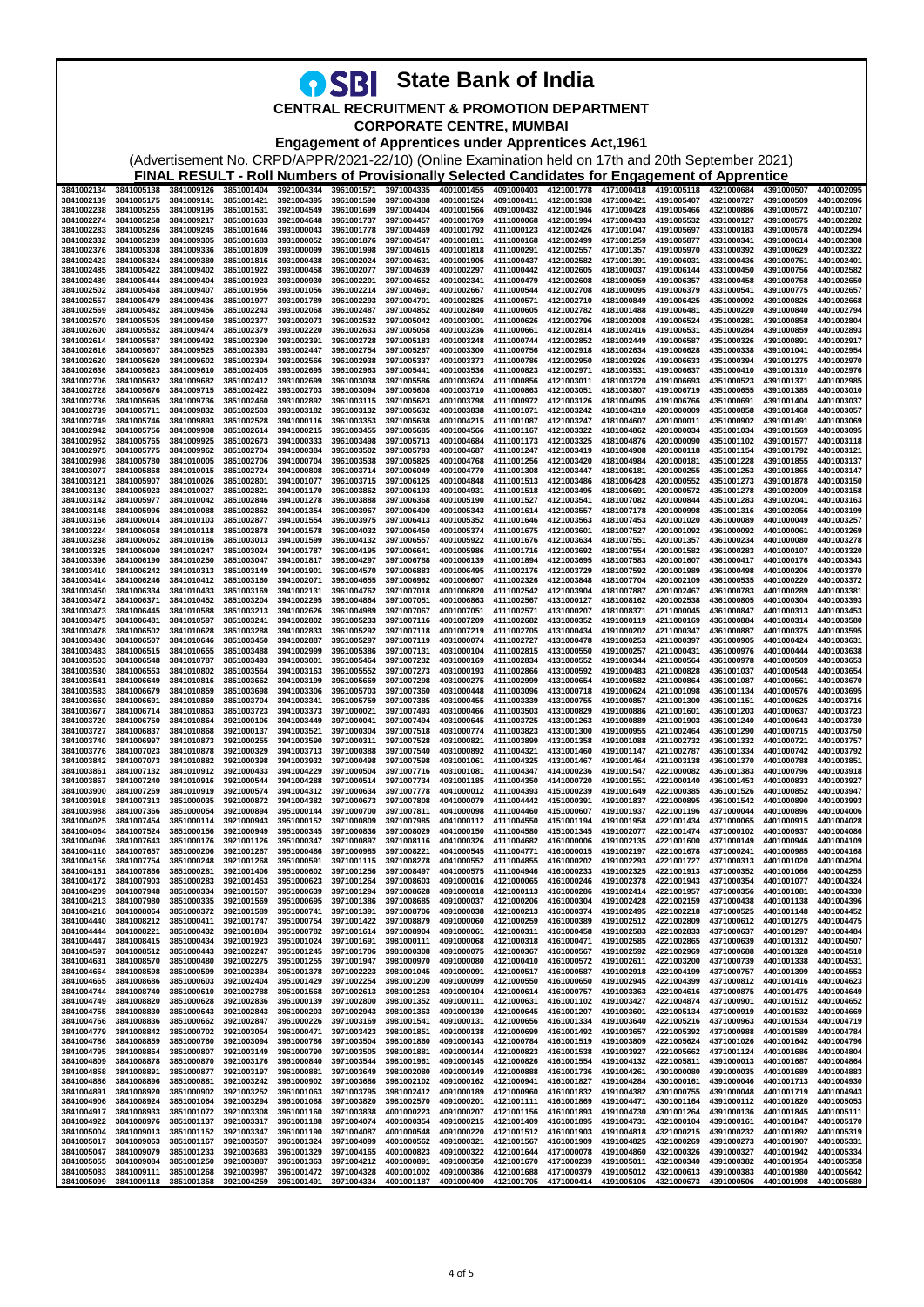# **CENTRAL RECRUITMENT & PROMOTION DEPARTMENT CORPORATE CENTRE, MUMBAI**

**Engagement of Apprentices under Apprentices Act,1961**

(Advertisement No. CRPD/APPR/2021-22/10) (Online Examination held on 17th and 20th September 2021)

| 3841002134                                                                                                                                                           | 3841005138                                                                                                                                                           | 3841009126 | 3851001404 | 3921004344 | 3961001571 | 3971004335 | 4001001455 | 4091000403 | 4121001778 | 4171000418 | 4191005118 | 4321000684 | 4391000507 | 4401002095 |
|----------------------------------------------------------------------------------------------------------------------------------------------------------------------|----------------------------------------------------------------------------------------------------------------------------------------------------------------------|------------|------------|------------|------------|------------|------------|------------|------------|------------|------------|------------|------------|------------|
| 3841002139                                                                                                                                                           | 3841005175                                                                                                                                                           | 3841009141 | 3851001421 | 3921004395 | 3961001590 | 3971004388 | 4001001524 | 4091000411 | 4121001938 | 4171000421 | 4191005407 | 4321000727 | 4391000509 | 4401002096 |
| 3841002238                                                                                                                                                           | 3841005255                                                                                                                                                           | 3841009195 | 3851001531 | 3921004549 | 3961001699 | 3971004404 | 4001001566 | 4091000432 | 4121001946 | 4171000428 | 4191005466 | 4321000886 | 4391000572 | 4401002107 |
| 3841002274                                                                                                                                                           | 3841005258                                                                                                                                                           | 3841009217 | 3851001633 | 3921004648 | 3961001737 | 3971004457 | 4001001769 | 4111000068 | 4121001994 | 4171000433 | 4191005532 | 4331000127 | 4391000575 | 4401002282 |
| 3841002283                                                                                                                                                           | 3841005286                                                                                                                                                           | 3841009245 | 3851001646 | 3931000043 | 3961001778 | 3971004469 | 4001001792 | 4111000123 | 4121002426 | 4171001047 | 4191005697 | 4331000183 | 4391000578 | 4401002294 |
| 3841002332                                                                                                                                                           | 3841005289                                                                                                                                                           | 3841009305 | 3851001683 | 3931000052 | 3961001876 | 3971004547 | 4001001811 | 4111000168 | 4121002499 | 4171001259 | 4191005877 | 4331000341 | 4391000614 | 4401002308 |
| 3841002376                                                                                                                                                           | 3841005308                                                                                                                                                           | 3841009336 | 3851001809 | 3931000099 | 3961001998 | 3971004615 | 4001001818 | 4111000291 | 4121002557 | 4171001357 | 4191005970 | 4331000392 | 4391000629 | 4401002322 |
| 3841002423                                                                                                                                                           | 3841005324                                                                                                                                                           | 3841009380 | 3851001816 | 3931000438 | 3961002024 | 3971004631 | 4001001905 | 4111000437 | 4121002582 | 4171001391 | 4191006031 | 4331000436 | 4391000751 | 4401002401 |
| 3841002485                                                                                                                                                           | 3841005422                                                                                                                                                           | 3841009402 | 3851001922 | 3931000458 | 3961002077 | 3971004639 | 4001002297 | 4111000442 | 4121002605 | 4181000037 | 4191006144 | 4331000450 | 4391000756 | 4401002582 |
| 3841002489                                                                                                                                                           | 3841005444                                                                                                                                                           | 3841009404 | 3851001923 | 3931000930 | 3961002201 | 3971004652 | 4001002341 | 4111000479 | 4121002608 | 4181000059 | 4191006357 | 4331000458 | 4391000758 | 4401002650 |
| 3841002502                                                                                                                                                           | 3841005468                                                                                                                                                           | 3841009407 | 3851001956 | 3931001056 | 3961002214 | 3971004691 | 4001002667 | 4111000544 | 4121002708 | 4181000095 | 4191006379 | 4331000541 | 4391000775 | 4401002657 |
| 3841002557                                                                                                                                                           | 3841005479                                                                                                                                                           | 3841009436 | 3851001977 | 3931001789 | 3961002293 | 3971004701 | 4001002825 | 4111000571 | 4121002710 | 4181000849 | 4191006425 | 4351000092 | 4391000826 | 4401002668 |
| 3841002569                                                                                                                                                           | 3841005482                                                                                                                                                           | 3841009456 | 3851002243 | 3931002068 | 3961002487 | 3971004852 | 4001002840 | 4111000605 | 4121002782 | 4181001488 | 4191006481 | 4351000220 | 4391000840 | 4401002794 |
| 3841002570                                                                                                                                                           | 3841005505                                                                                                                                                           | 3841009460 | 3851002377 | 3931002073 | 3961002532 | 3971005042 | 4001003001 | 4111000626 | 4121002796 | 4181002008 | 4191006524 | 4351000281 | 4391000858 | 4401002804 |
| 3841002600                                                                                                                                                           | 3841005532                                                                                                                                                           | 3841009474 | 3851002379 | 3931002220 | 3961002633 | 3971005058 | 4001003236 | 4111000661 | 4121002814 | 4181002416 | 4191006531 | 4351000284 | 4391000859 | 4401002893 |
| 3841002614                                                                                                                                                           | 3841005587                                                                                                                                                           | 3841009492 | 3851002390 | 3931002391 | 3961002728 | 3971005183 | 4001003248 | 4111000744 | 4121002852 | 4181002449 | 4191006587 | 4351000326 | 4391000891 | 4401002917 |
| 3841002616                                                                                                                                                           | 3841005607                                                                                                                                                           | 3841009525 | 3851002393 | 3931002447 | 3961002754 | 3971005267 | 4001003300 | 4111000756 | 4121002918 | 4181002634 | 4191006628 | 4351000338 | 4391001041 | 4401002954 |
| 3841002620                                                                                                                                                           | 3841005620                                                                                                                                                           | 3841009602 | 3851002394 | 3931002566 | 3961002938 | 3971005337 | 4001003373 | 4111000786 | 4121002950 | 4181002926 | 4191006633 | 4351000394 | 4391001275 | 4401002970 |
| 3841002636                                                                                                                                                           | 3841005623                                                                                                                                                           | 3841009610 | 3851002405 | 3931002695 | 3961002963 | 3971005441 | 4001003536 | 4111000823 | 4121002971 | 4181003531 | 4191006637 | 4351000410 | 4391001310 | 4401002976 |
| 3841002706                                                                                                                                                           | 3841005632                                                                                                                                                           | 3841009682 | 3851002412 | 3931002699 | 3961003038 | 3971005586 | 4001003624 | 4111000856 | 4121003011 | 4181003720 | 4191006693 | 4351000523 | 4391001371 | 4401002985 |
| 3841002728                                                                                                                                                           | 3841005676                                                                                                                                                           | 3841009715 | 3851002422 | 3931002703 | 3961003094 | 3971005608 | 4001003710 | 4111000863 | 4121003051 | 4181003807 | 4191006719 | 4351000655 | 4391001385 | 4401003010 |
| 3841002736                                                                                                                                                           | 3841005695                                                                                                                                                           | 3841009736 | 3851002460 | 3931002892 | 3961003115 | 3971005623 | 4001003798 | 4111000972 | 4121003126 | 4181004095 | 4191006766 | 4351000691 | 4391001404 | 4401003037 |
| 3841002739                                                                                                                                                           | 3841005711                                                                                                                                                           | 3841009832 | 3851002503 | 3931003182 | 3961003132 | 3971005632 | 4001003838 | 4111001071 | 4121003242 | 4181004310 | 4201000009 | 4351000858 | 4391001468 | 4401003057 |
| 3841002749                                                                                                                                                           | 3841005746                                                                                                                                                           | 3841009893 | 3851002528 | 3941000116 | 3961003353 | 3971005638 | 4001004215 | 4111001087 | 4121003247 | 4181004607 | 4201000011 | 4351000902 | 4391001491 | 4401003069 |
| 3841002942                                                                                                                                                           | 3841005756                                                                                                                                                           | 3841009908 | 3851002614 | 3941000215 | 3961003455 | 3971005685 | 4001004566 | 4111001167 | 4121003322 | 4181004862 | 4201000034 | 4351001034 | 4391001569 | 4401003095 |
| 3841002952                                                                                                                                                           | 3841005765                                                                                                                                                           | 3841009925 | 3851002673 | 3941000333 | 3961003498 | 3971005713 | 4001004684 | 4111001173 | 4121003325 | 4181004876 | 4201000090 | 4351001102 | 4391001577 | 4401003118 |
| 3841002975                                                                                                                                                           | 3841005775                                                                                                                                                           | 3841009962 | 3851002704 | 3941000384 | 3961003502 | 3971005793 | 4001004687 | 4111001247 | 4121003419 | 4181004908 | 4201000118 | 4351001154 | 4391001792 | 4401003121 |
| 3841002998                                                                                                                                                           | 3841005780                                                                                                                                                           | 3841010005 | 3851002706 | 3941000704 | 3961003538 | 3971005825 | 4001004768 | 4111001256 | 4121003420 | 4181004984 | 4201000181 | 4351001228 | 4391001855 | 4401003137 |
| 3841003077                                                                                                                                                           | 3841005868                                                                                                                                                           | 3841010015 | 3851002724 | 3941000808 | 3961003714 | 3971006049 | 4001004770 | 4111001308 | 4121003447 | 4181006181 | 4201000255 | 4351001253 | 4391001865 | 4401003147 |
| 3841003121                                                                                                                                                           | 3841005907                                                                                                                                                           | 3841010026 | 3851002801 | 3941001077 | 3961003715 | 3971006125 | 4001004848 | 4111001513 | 4121003486 | 4181006428 | 4201000552 | 4351001273 | 4391001878 | 4401003150 |
| 3841003130                                                                                                                                                           | 3841005923                                                                                                                                                           | 3841010027 | 3851002821 | 3941001170 | 3961003862 | 3971006193 | 4001004931 | 4111001518 | 4121003495 | 4181006691 | 4201000572 | 4351001278 | 4391002009 | 4401003158 |
| 3841003142                                                                                                                                                           | 3841005977                                                                                                                                                           | 3841010042 | 3851002846 | 3941001278 | 3961003888 | 3971006368 | 4001005190 | 4111001527 | 4121003541 | 4181007082 | 4201000844 | 4351001283 | 4391002041 | 4401003163 |
| 3841003148                                                                                                                                                           | 3841005996                                                                                                                                                           | 3841010088 | 3851002862 | 3941001354 | 3961003967 | 3971006400 | 4001005343 | 4111001614 | 4121003557 | 4181007178 | 4201000998 | 4351001316 | 4391002056 | 4401003199 |
| 3841003166                                                                                                                                                           | 3841006014                                                                                                                                                           | 3841010103 | 3851002877 | 3941001554 | 3961003975 | 3971006413 | 4001005352 | 4111001646 | 4121003563 | 4181007453 | 4201001020 | 4361000089 | 4401000049 | 4401003257 |
| 3841003224                                                                                                                                                           | 3841006058                                                                                                                                                           | 3841010118 | 3851002878 | 3941001578 | 3961004032 | 3971006450 | 4001005374 | 4111001675 | 4121003601 | 4181007527 | 4201001092 | 4361000092 | 4401000061 | 4401003269 |
| 3841003238                                                                                                                                                           | 3841006062                                                                                                                                                           | 3841010186 | 3851003013 | 3941001599 | 3961004132 | 3971006557 | 4001005922 | 4111001676 | 4121003634 | 4181007551 | 4201001357 | 4361000234 | 4401000080 | 4401003278 |
| 3841003325                                                                                                                                                           | 3841006090                                                                                                                                                           | 3841010247 | 3851003024 | 3941001787 | 3961004195 | 3971006641 | 4001005986 | 4111001716 | 4121003692 | 4181007554 | 4201001582 | 4361000283 | 4401000107 | 4401003320 |
| 3841003396                                                                                                                                                           | 3841006190                                                                                                                                                           | 3841010250 | 3851003047 | 3941001817 | 3961004297 | 3971006788 | 4001006139 | 4111001894 | 4121003695 | 4181007583 | 4201001607 | 4361000417 | 4401000176 | 4401003343 |
| 3841003410                                                                                                                                                           | 3841006242                                                                                                                                                           | 3841010313 | 3851003149 | 3941001901 | 3961004570 | 3971006883 | 4001006495 | 4111002176 | 4121003729 | 4181007592 | 4201001989 | 4361000498 | 4401000206 | 4401003370 |
| 3841003414                                                                                                                                                           | 3841006246                                                                                                                                                           | 3841010412 | 3851003160 | 3941002071 | 3961004655 | 3971006962 | 4001006607 | 4111002326 | 4121003848 | 4181007704 | 4201002109 | 4361000535 | 4401000220 | 4401003372 |
| 3841003450                                                                                                                                                           | 3841006334                                                                                                                                                           | 3841010433 | 3851003169 | 3941002131 | 3961004762 | 3971007018 | 4001006820 | 4111002542 | 4121003904 | 4181007887 | 4201002467 | 4361000783 | 4401000289 | 4401003381 |
| 3841003472                                                                                                                                                           | 3841006371                                                                                                                                                           | 3841010452 | 3851003204 | 3941002295 | 3961004864 | 3971007051 | 4001006863 | 4111002567 | 4131000127 | 4181008162 | 4201002538 | 4361000805 | 4401000304 | 4401003393 |
| 3841003473                                                                                                                                                           | 3841006445                                                                                                                                                           | 3841010588 | 3851003213 | 3941002626 | 3961004989 | 3971007067 | 4001007051 | 4111002571 | 4131000207 | 4181008371 | 4211000045 | 4361000847 | 4401000313 | 4401003453 |
| 3841003475                                                                                                                                                           | 3841006481                                                                                                                                                           | 3841010597 | 3851003241 | 3941002802 | 3961005233 | 3971007116 | 4001007209 | 4111002682 | 4131000352 | 4191000119 | 4211000169 | 4361000884 | 4401000314 | 4401003580 |
| 3841003478                                                                                                                                                           | 3841006502                                                                                                                                                           | 3841010628 | 3851003288 | 3941002833 | 3961005292 | 3971007118 | 4001007219 | 4111002705 | 4131000434 | 4191000202 | 4211000347 | 4361000887 | 4401000375 | 4401003595 |
| 3841003480                                                                                                                                                           | 3841006507                                                                                                                                                           | 3841010646 | 3851003450 | 3941002887 | 3961005297 | 3971007119 | 4031000074 | 4111002727 | 4131000478 | 4191000253 | 4211000397 | 4361000905 | 4401000424 | 4401003631 |
| 3841003483                                                                                                                                                           | 3841006515                                                                                                                                                           | 3841010655 | 3851003488 | 3941002999 | 3961005386 | 3971007131 | 4031000104 | 4111002815 | 4131000550 | 4191000257 | 4211000431 | 4361000976 | 4401000444 | 4401003638 |
| 3841003503                                                                                                                                                           | 3841006548                                                                                                                                                           | 3841010787 | 3851003493 | 3941003001 | 3961005464 | 3971007232 | 4031000169 | 4111002834 | 4131000552 | 4191000344 | 4211000564 | 4361000978 | 4401000509 | 4401003653 |
| 3841003530                                                                                                                                                           | 3841006553                                                                                                                                                           | 3841010802 | 3851003564 | 3941003163 | 3961005552 | 3971007273 | 4031000193 | 4111002866 | 4131000592 | 4191000483 | 4211000828 | 4361001037 | 4401000548 | 4401003654 |
| 3841003541                                                                                                                                                           | 3841006649                                                                                                                                                           | 3841010816 | 3851003662 | 3941003199 | 3961005669 | 3971007298 | 4031000275 | 4111002999 | 4131000654 | 4191000582 | 4211000864 | 4361001087 | 4401000561 | 4401003670 |
| 3841003583                                                                                                                                                           | 3841006679                                                                                                                                                           | 3841010859 | 3851003698 | 3941003306 | 3961005703 | 3971007360 | 4031000448 | 4111003096 | 4131000718 | 4191000624 | 4211001098 | 4361001134 | 4401000576 | 4401003695 |
| 3841003660                                                                                                                                                           | 3841006691                                                                                                                                                           | 3841010860 | 3851003704 | 3941003341 | 3961005759 | 3971007385 | 4031000455 | 4111003339 | 4131000755 | 4191000857 | 4211001300 | 4361001151 | 4401000625 | 4401003716 |
| 3841003677                                                                                                                                                           | 3841006714                                                                                                                                                           | 3841010863 | 3851003723 | 3941003373 | 3971000021 | 3971007493 | 4031000466 | 4111003503 | 4131000829 | 4191000886 | 4211001601 | 4361001203 | 4401000637 | 4401003723 |
| 3841003720                                                                                                                                                           | 3841006750                                                                                                                                                           | 3841010864 | 3921000106 | 3941003449 | 3971000041 | 3971007494 | 4031000645 | 4111003725 | 4131001263 | 4191000889 | 4211001903 | 4361001240 | 4401000643 | 4401003730 |
| 3841003727                                                                                                                                                           | 3841006837                                                                                                                                                           | 3841010868 | 3921000137 | 3941003521 | 3971000304 | 3971007518 | 4031000774 | 4111003823 | 4131001300 | 4191000955 | 4211002464 | 4361001290 | 4401000715 | 4401003750 |
| 3841003740                                                                                                                                                           | 3841006997                                                                                                                                                           | 3841010873 | 3921000255 | 3941003590 | 3971000311 | 3971007528 | 4031000821 | 4111003899 | 4131001358 | 4191001088 | 4211002732 | 4361001332 | 4401000721 | 4401003757 |
| 3841003776                                                                                                                                                           | 3841007023                                                                                                                                                           | 3841010878 | 3921000329 | 3941003713 | 3971000388 | 3971007540 | 4031000892 | 4111004321 | 4131001460 | 4191001147 | 4211002787 | 4361001334 | 4401000742 | 4401003792 |
| 3841003842                                                                                                                                                           | 3841007073                                                                                                                                                           | 3841010882 | 3921000398 | 3941003932 | 3971000498 | 3971007598 | 4031001061 | 4111004325 | 4131001467 | 4191001464 | 4211003138 | 4361001370 | 4401000788 | 4401003851 |
| 3841003861                                                                                                                                                           | 3841007132                                                                                                                                                           | 3841010912 | 3921000433 | 3941004229 | 3971000504 | 3971007716 | 4031001081 | 4111004347 | 4141000236 | 4191001547 | 4221000082 | 4361001383 | 4401000796 | 4401003918 |
| 3841003867                                                                                                                                                           | 3841007240                                                                                                                                                           | 3841010916 | 3921000544 | 3941004288 | 3971000514 | 3971007734 | 4031001185 | 4111004350 | 4141000720 | 4191001551 | 4221000140 | 4361001453 | 4401000833 | 4401003927 |
| 3841003900                                                                                                                                                           | 3841007269                                                                                                                                                           | 3841010919 | 3921000574 | 3941004312 | 3971000634 | 3971007778 | 4041000012 | 4111004393 | 4151000239 | 4191001649 | 4221000385 | 4361001526 | 4401000852 | 4401003947 |
| 3841003918                                                                                                                                                           | 3841007313                                                                                                                                                           | 3851000035 | 3921000872 | 3941004382 | 3971000673 | 3971007808 | 4041000079 | 4111004442 | 4151000391 | 4191001837 | 4221000895 | 4361001542 | 4401000890 | 4401003993 |
| 3841003988                                                                                                                                                           | 3841007366                                                                                                                                                           | 3851000054 | 3921000894 | 3951000144 | 3971000700 | 3971007811 | 4041000098 | 4111004460 | 4151000607 | 4191001937 | 4221001196 | 4371000044 | 4401000896 | 4401004006 |
| 3841004025                                                                                                                                                           | 3841007454                                                                                                                                                           | 3851000114 | 3921000943 | 3951000152 | 3971000809 | 3971007985 | 4041000112 | 4111004550 | 4151001194 | 4191001958 | 4221001434 | 4371000065 | 4401000915 | 4401004028 |
| 3841004064                                                                                                                                                           | 3841007524                                                                                                                                                           | 3851000156 | 3921000949 | 3951000345 | 3971000836 | 3971008029 | 4041000150 | 4111004580 | 4151001345 | 4191002077 | 4221001474 | 4371000102 | 4401000937 | 4401004086 |
| 3841004096                                                                                                                                                           | 3841007643                                                                                                                                                           | 3851000176 | 3921001126 | 3951000347 | 3971000897 | 3971008116 | 4041000326 | 4111004682 | 4161000006 | 4191002135 | 4221001600 | 4371000149 | 4401000946 | 4401004109 |
| 3841004110                                                                                                                                                           | 3841007657                                                                                                                                                           | 3851000206 | 3921001267 | 3951000486 | 3971000985 | 3971008221 | 4041000545 | 4111004771 | 4161000015 | 4191002197 | 4221001678 | 4371000241 | 4401000985 | 4401004168 |
| 3841004156                                                                                                                                                           | 3841007754                                                                                                                                                           | 3851000248 | 3921001268 | 3951000591 | 3971001115 | 3971008278 | 4041000552 | 4111004855 | 4161000202 | 4191002293 | 4221001727 | 4371000313 | 4401001020 | 4401004204 |
| 3841004161                                                                                                                                                           | 3841007866                                                                                                                                                           | 3851000281 | 3921001406 | 3951000602 | 3971001256 | 3971008497 | 4041000575 | 4111004946 | 4161000233 | 4191002325 | 4221001913 | 4371000352 | 4401001066 | 4401004255 |
| 3841004172                                                                                                                                                           | 3841007903                                                                                                                                                           | 3851000283 | 3921001453 | 3951000623 | 3971001264 | 3971008603 | 4091000016 | 4121000065 | 4161000246 | 4191002378 | 4221001943 | 4371000354 | 4401001077 | 4401004324 |
| 3841004209                                                                                                                                                           | 3841007948                                                                                                                                                           | 3851000334 | 3921001507 | 3951000639 | 3971001294 | 3971008628 | 4091000018 | 4121000113 | 4161000286 | 4191002414 | 4221001957 | 4371000356 | 4401001081 | 4401004330 |
| 3841004213                                                                                                                                                           | 3841007980                                                                                                                                                           | 3851000335 | 3921001569 | 3951000695 | 3971001386 | 3971008685 | 4091000037 | 4121000206 | 4161000304 | 4191002428 | 4221002159 | 4371000438 | 4401001138 | 4401004396 |
| 3841004216                                                                                                                                                           | 3841008064                                                                                                                                                           | 3851000372 | 3921001589 | 3951000741 | 3971001391 | 3971008706 | 4091000038 | 4121000213 | 4161000374 | 4191002495 | 4221002218 | 4371000525 | 4401001148 | 4401004452 |
| 3841004440                                                                                                                                                           | 3841008212                                                                                                                                                           | 3851000411 | 3921001747 | 3951000754 | 3971001422 | 3971008879 | 4091000060 | 4121000259 | 4161000389 | 4191002512 | 4221002809 | 4371000612 | 4401001275 | 4401004475 |
| 3841004444                                                                                                                                                           | 3841008221                                                                                                                                                           | 3851000432 | 3921001884 | 3951000782 | 3971001614 | 3971008904 | 4091000061 | 4121000311 | 4161000458 | 4191002583 | 4221002833 | 4371000637 | 4401001297 | 4401004484 |
| 3841004447                                                                                                                                                           | 3841008415                                                                                                                                                           | 3851000434 | 3921001923 | 3951001024 | 3971001691 | 3981000111 | 4091000068 | 4121000318 | 4161000471 | 4191002585 | 4221002865 | 4371000639 | 4401001312 | 4401004507 |
| 3841004597                                                                                                                                                           | 3841008512                                                                                                                                                           | 3851000443 | 3921002247 | 3951001245 | 3971001706 | 3981000308 | 4091000075 | 4121000367 | 4161000567 | 4191002592 | 4221002969 | 4371000688 | 4401001328 | 4401004510 |
| 3841004631                                                                                                                                                           | 3841008570                                                                                                                                                           | 3851000480 | 3921002275 | 3951001255 | 3971001947 | 3981000970 | 4091000080 | 4121000410 | 4161000572 | 4191002611 | 4221003200 | 4371000739 | 4401001338 | 4401004531 |
| 3841004664                                                                                                                                                           | 3841008598                                                                                                                                                           | 3851000599 | 3921002384 | 3951001378 | 3971002223 | 3981001045 | 4091000091 | 4121000517 | 4161000587 | 4191002918 | 4221004199 | 4371000757 | 4401001399 | 4401004553 |
| 3841004665                                                                                                                                                           | 3841008686                                                                                                                                                           | 3851000603 | 3921002404 | 3951001429 | 3971002254 | 3981001200 | 4091000099 | 4121000550 | 4161000650 | 4191002945 | 4221004399 | 4371000812 | 4401001416 | 4401004623 |
| 3841004744                                                                                                                                                           | 3841008740                                                                                                                                                           | 3851000610 | 3921002788 | 3951001568 | 3971002613 | 3981001263 | 4091000104 | 4121000614 | 4161000757 | 4191003363 | 4221004616 | 4371000875 | 4401001475 | 4401004649 |
| 3841004749                                                                                                                                                           | 3841008820                                                                                                                                                           | 3851000628 | 3921002836 | 3961000139 | 3971002800 | 3981001352 | 4091000111 | 4121000631 | 4161001102 | 4191003427 | 4221004874 | 4371000901 | 4401001512 | 4401004652 |
| 3841004755                                                                                                                                                           | 3841008830                                                                                                                                                           | 3851000643 | 3921002843 | 3961000203 | 3971002943 | 3981001363 | 4091000130 | 4121000645 | 4161001207 | 4191003601 | 4221005134 | 4371000919 | 4401001532 | 4401004669 |
| 3841004766                                                                                                                                                           | 3841008836                                                                                                                                                           | 3851000662 | 3921002847 | 3961000226 | 3971003169 | 3981001541 | 4091000131 | 4121000656 | 4161001334 | 4191003640 | 4221005216 | 4371000963 | 4401001534 | 4401004719 |
| 3841004779                                                                                                                                                           | 3841008842                                                                                                                                                           | 3851000702 | 3921003054 | 3961000471 | 3971003423 | 3981001851 | 4091000138 | 4121000699 | 4161001492 | 4191003657 | 4221005392 | 4371000988 | 4401001589 | 4401004784 |
| 3841004786                                                                                                                                                           | 3841008859                                                                                                                                                           | 3851000760 | 3921003094 | 3961000786 | 3971003504 | 3981001860 | 4091000143 | 4121000784 | 4161001519 | 4191003809 | 4221005624 | 4371001026 | 4401001642 | 4401004796 |
| 3841004795                                                                                                                                                           | 3841008864                                                                                                                                                           | 3851000807 | 3921003149 | 3961000790 | 3971003505 | 3981001881 | 4091000144 | 4121000823 | 4161001538 | 4191003927 | 4221005662 | 4371001124 | 4401001686 | 4401004804 |
| 3841004809                                                                                                                                                           | 3841008878                                                                                                                                                           | 3851000870 | 3921003176 | 3961000840 | 3971003544 | 3981001961 | 4091000145 | 4121000826 | 4161001554 | 4191004132 | 4221005811 | 4391000013 | 4401001687 | 4401004864 |
| 3841004858                                                                                                                                                           | 3841008891                                                                                                                                                           | 3851000877 | 3921003197 | 3961000881 | 3971003649 | 3981002080 | 4091000149 | 4121000888 | 4161001736 | 4191004261 | 4301000080 | 4391000035 | 4401001689 | 4401004883 |
| 3841004886                                                                                                                                                           | 3841008896                                                                                                                                                           | 3851000881 | 3921003242 | 3961000902 | 3971003686 | 3981002102 | 4091000162 | 4121000941 | 4161001827 | 4191004284 | 4301000161 | 4391000046 | 4401001713 | 4401004930 |
| 3841004891                                                                                                                                                           | 3841008920                                                                                                                                                           | 3851000902 | 3921003252 | 3961001063 | 3971003795 | 3981002412 | 4091000189 | 4121000960 | 4161001832 | 4191004382 | 4301000755 | 4391000048 | 4401001719 | 4401004943 |
| 3841004906                                                                                                                                                           | 3841008924                                                                                                                                                           | 3851001064 | 3921003294 | 3961001088 | 3971003820 | 3981002570 | 4091000201 | 4121001111 | 4161001869 | 4191004471 | 4301001164 | 4391000112 | 4401001820 | 4401005053 |
| 3841004917                                                                                                                                                           | 3841008933                                                                                                                                                           | 3851001072 | 3921003308 | 3961001160 | 3971003838 | 4001000223 | 4091000207 | 4121001156 | 4161001893 | 4191004730 | 4301001264 | 4391000136 | 4401001845 | 4401005111 |
| 3841004922                                                                                                                                                           | 3841008976                                                                                                                                                           | 3851001137 | 3921003317 | 3961001188 | 3971004074 | 4001000354 | 4091000215 | 4121001409 | 4161001895 | 4191004731 | 4321000104 | 4391000161 | 4401001847 | 4401005170 |
| 3841005004                                                                                                                                                           | 3841009013                                                                                                                                                           | 3851001152 | 3921003347 | 3961001190 | 3971004087 | 4001000548 | 4091000220 | 4121001512 | 4161001903 | 4191004818 | 4321000215 | 4391000232 | 4401001892 | 4401005319 |
| 3841005017                                                                                                                                                           | 3841009063                                                                                                                                                           | 3851001167 | 3921003507 | 3961001324 | 3971004099 | 4001000562 | 4091000321 | 4121001567 | 4161001909 | 4191004825 | 4321000269 | 4391000273 | 4401001907 | 4401005331 |
| 3841005047                                                                                                                                                           | 3841009079                                                                                                                                                           | 3851001233 | 3921003683 | 3961001329 | 3971004165 | 4001000823 | 4091000322 | 4121001644 | 4171000078 | 4191004860 | 4321000326 | 4391000327 | 4401001942 | 4401005334 |
| 3841005055                                                                                                                                                           | 3841009084                                                                                                                                                           | 3851001250 | 3921003887 | 3961001363 | 3971004212 | 4001000891 | 4091000350 | 4121001670 | 4171000239 | 4191005011 | 4321000340 | 4391000382 | 4401001954 | 4401005358 |
| 3841005083 3841009111 3851001268 3921003987 3961001472 3971004328 4001001002 4091000386 4121001688 4171000379 4191005012 4321000613 4391000383 4401001980 4401005642 |                                                                                                                                                                      |            |            |            |            |            |            |            |            |            |            |            |            |            |
|                                                                                                                                                                      | 3841005099 3841009118 3851001358 3921004259 3961001491 3971004334 4001001187 4091000400 4121001705 4171000414 4191005106 4321000673 4391000506 4401001998 4401005680 |            |            |            |            |            |            |            |            |            |            |            |            |            |